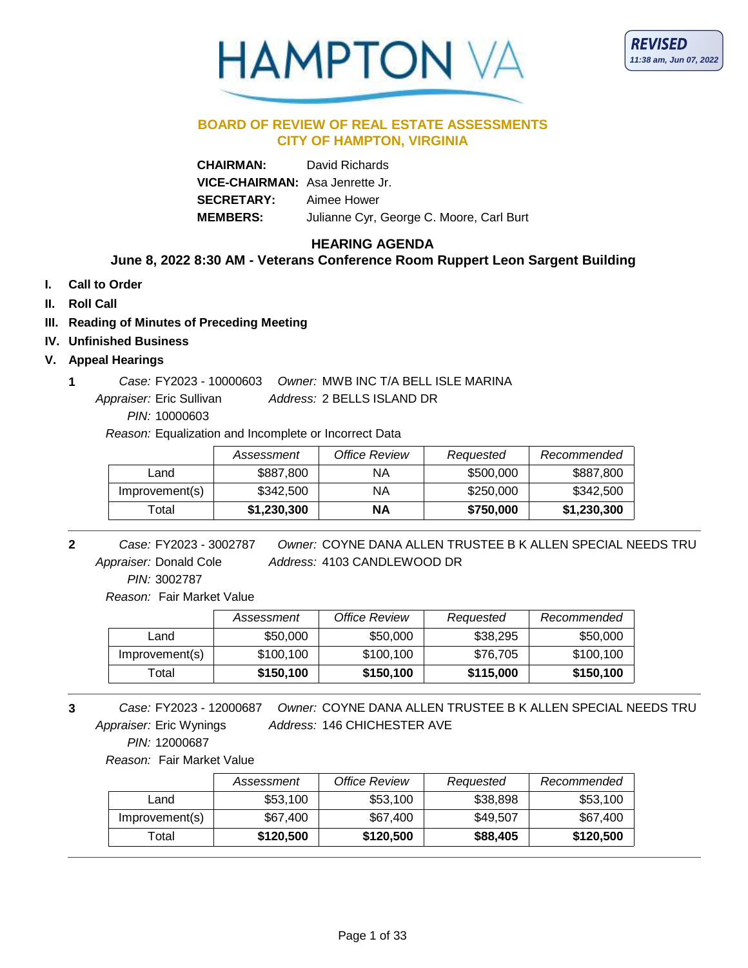



### **BOARD OF REVIEW OF REAL ESTATE ASSESSMENTS CITY OF HAMPTON, VIRGINIA**

**CHAIRMAN:** David Richards **VICE-CHAIRMAN:** Asa Jenrette Jr. **SECRETARY:** Aimee Hower **MEMBERS:** Julianne Cyr, George C. Moore, Carl Burt

# **HEARING AGENDA**

# **June 8, 2022 8:30 AM - Veterans Conference Room Ruppert Leon Sargent Building**

- **I. Call to Order**
- **II. Roll Call**
- **III. Reading of Minutes of Preceding Meeting**
- **IV. Unfinished Business**

### **V. Appeal Hearings**

Address: 2 BELLS ISLAND DR **1** *Case:* FY2023 - 10000603 *Owner:* MWB INC T/A BELL ISLE MARINA Appraiser: Eric Sullivan

*PIN:* 10000603

*Reason:* Equalization and Incomplete or Incorrect Data

|                | Assessment  | Office Review | Requested | Recommended |
|----------------|-------------|---------------|-----------|-------------|
| Land           | \$887,800   | ΝA            | \$500,000 | \$887,800   |
| Improvement(s) | \$342,500   | ΝA            | \$250,000 | \$342,500   |
| Гоtal          | \$1,230,300 | ΝA            | \$750,000 | \$1,230,300 |

Address: 4103 CANDLEWOOD DR **2** *Owner:* COYNE DANA ALLEN TRUSTEE B K ALLEN SPECIAL NEEDS TRU FY2023 - 3002787 *Case:* Appraiser: Donald Cole

*PIN:* 3002787

*Reason:* Fair Market Value

|                | Assessment | <b>Office Review</b> | Requested | Recommended |
|----------------|------------|----------------------|-----------|-------------|
| ∟and           | \$50,000   | \$50,000             | \$38,295  | \$50,000    |
| Improvement(s) | \$100,100  | \$100,100            | \$76.705  | \$100,100   |
| Total          | \$150,100  | \$150,100            | \$115,000 | \$150,100   |

Address: 146 CHICHESTER AVE **3** *Owner:* COYNE DANA ALLEN TRUSTEE B K ALLEN SPECIAL NEEDS TRU FY2023 - 12000687 *Case:* Appraiser: Eric Wynings

*PIN:* 12000687

*Reason:* Fair Market Value

|                | Assessment | Office Review | Requested | Recommended |
|----------------|------------|---------------|-----------|-------------|
| Land           | \$53,100   | \$53.100      | \$38,898  | \$53,100    |
| Improvement(s) | \$67,400   | \$67,400      | \$49,507  | \$67,400    |
| Total          | \$120,500  | \$120,500     | \$88,405  | \$120,500   |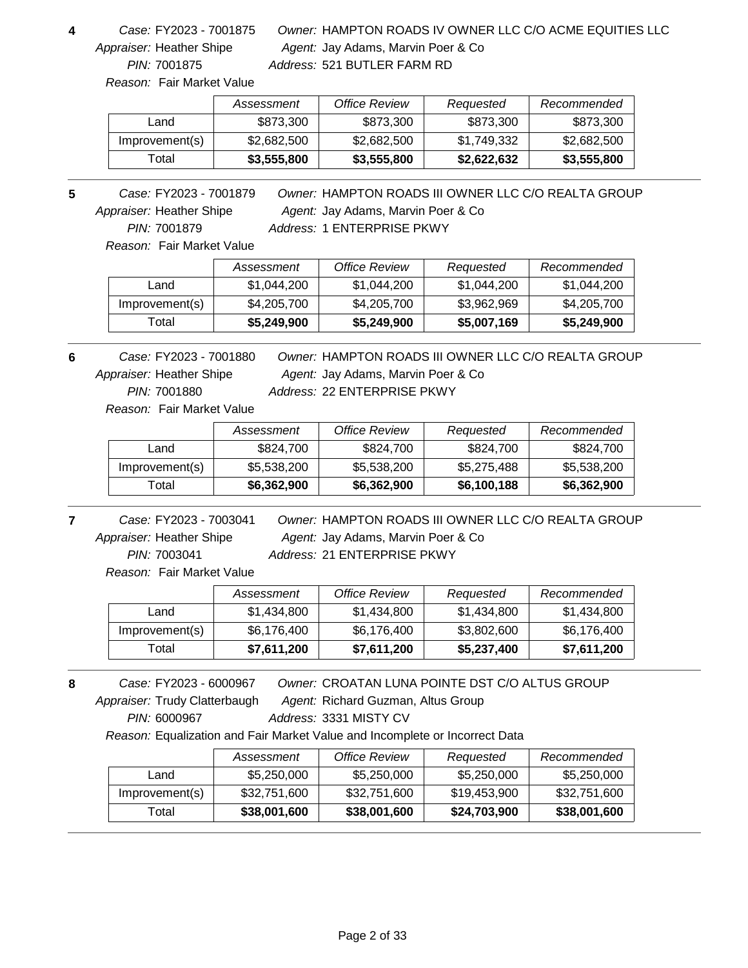FY2023 - 7001875 *Case:* Appraiser: Heather Shipe

*PIN:* 7001875

## Agent: Jay Adams, Marvin Poer & Co **4** *Owner:* HAMPTON ROADS IV OWNER LLC C/O ACME EQUITIES LLC *Address:* 521 BUTLER FARM RD

*Reason:* Fair Market Value

|                | Assessment  | <b>Office Review</b> | Requested   | Recommended |
|----------------|-------------|----------------------|-------------|-------------|
| Land           | \$873,300   | \$873,300            | \$873,300   | \$873,300   |
| Improvement(s) | \$2,682,500 | \$2,682,500          | \$1,749,332 | \$2,682,500 |
| Гotal          | \$3,555,800 | \$3,555,800          | \$2,622,632 | \$3,555,800 |

Agent: Jay Adams, Marvin Poer & Co **5** *Owner:* HAMPTON ROADS III OWNER LLC C/O REALTA GROUP *PIN:* 7001879 FY2023 - 7001879 *Case:* Appraiser: Heather Shipe *Address:* 1 ENTERPRISE PKWY

*Reason:* Fair Market Value

|                | Assessment  | Office Review | Requested   | Recommended |
|----------------|-------------|---------------|-------------|-------------|
| Land           | \$1,044,200 | \$1,044,200   | \$1,044,200 | \$1,044,200 |
| Improvement(s) | \$4,205,700 | \$4,205,700   | \$3,962,969 | \$4,205,700 |
| Total          | \$5,249,900 | \$5,249,900   | \$5,007,169 | \$5,249,900 |

*PIN:* 7001880 FY2023 - 7001880 *Case:* Appraiser: Heather Shipe

Agent: Jay Adams, Marvin Poer & Co **6** *Owner:* HAMPTON ROADS III OWNER LLC C/O REALTA GROUP *Address:* 22 ENTERPRISE PKWY

*Reason:* Fair Market Value

|                | Assessment  | Office Review | Requested   | Recommended |
|----------------|-------------|---------------|-------------|-------------|
| Land           | \$824.700   | \$824,700     | \$824,700   | \$824,700   |
| Improvement(s) | \$5,538,200 | \$5,538,200   | \$5,275,488 | \$5,538,200 |
| Total          | \$6,362,900 | \$6,362,900   | \$6,100,188 | \$6,362,900 |

*PIN:* 7003041 FY2023 - 7003041 *Case:* Appraiser: Heather Shipe

Agent: Jay Adams, Marvin Poer & Co **7** *Owner:* HAMPTON ROADS III OWNER LLC C/O REALTA GROUP *Address:* 21 ENTERPRISE PKWY

*Reason:* Fair Market Value

|                | Assessment  | Office Review | Requested   | Recommended |
|----------------|-------------|---------------|-------------|-------------|
| Land           | \$1,434,800 | \$1,434,800   | \$1,434,800 | \$1,434,800 |
| Improvement(s) | \$6,176,400 | \$6,176,400   | \$3,802,600 | \$6,176,400 |
| Гоtal          | \$7,611,200 | \$7,611,200   | \$5,237,400 | \$7,611,200 |

Agent: Richard Guzman, Altus Group **8** *Owner:* CROATAN LUNA POINTE DST C/O ALTUS GROUP *PIN:* 6000967 FY2023 - 6000967 *Case:* Appraiser: Trudy Clatterbaugh *Address:* 3331 MISTY CV

*Reason:* Equalization and Fair Market Value and Incomplete or Incorrect Data

|                | Assessment   | Office Review | Requested    | Recommended  |
|----------------|--------------|---------------|--------------|--------------|
| Land           | \$5,250,000  | \$5,250,000   | \$5,250,000  | \$5,250,000  |
| Improvement(s) | \$32,751,600 | \$32,751,600  | \$19,453,900 | \$32,751,600 |
| Total          | \$38,001,600 | \$38,001,600  | \$24,703,900 | \$38,001,600 |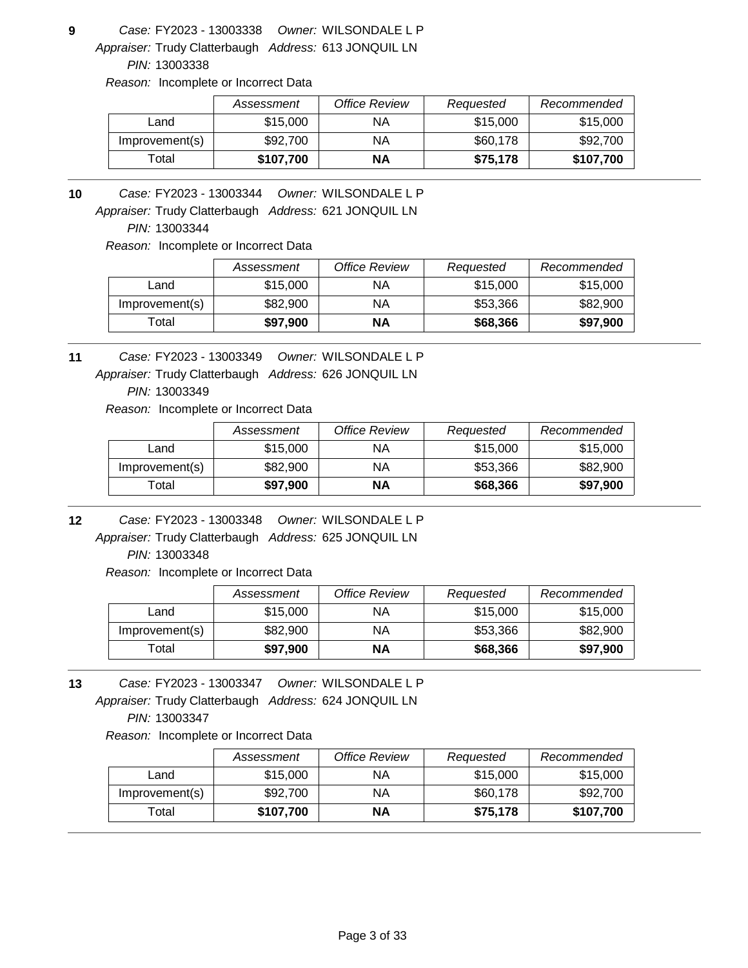**9** *Owner:* WILSONDALE L P FY2023 - 13003338 *Case:*

Appraiser: Trudy Clatterbaugh Address: 613 JONQUIL LN *PIN:* 13003338

*Reason:* Incomplete or Incorrect Data

|                | Assessment | <b>Office Review</b> | Requested | Recommended |
|----------------|------------|----------------------|-----------|-------------|
| Land           | \$15,000   | ΝA                   | \$15,000  | \$15,000    |
| Improvement(s) | \$92,700   | NA                   | \$60,178  | \$92,700    |
| ™otal          | \$107,700  | ΝA                   | \$75.178  | \$107,700   |

**10** *Owner:* WILSONDALE L P FY2023 - 13003344 *Case:*

Appraiser: Trudy Clatterbaugh Address: 621 JONQUIL LN

*PIN:* 13003344

*Reason:* Incomplete or Incorrect Data

|                   | Assessment | Office Review | Requested | Recommended |
|-------------------|------------|---------------|-----------|-------------|
| Land              | \$15,000   | ΝA            | \$15,000  | \$15,000    |
| Improvement(s)    | \$82,900   | ΝA            | \$53.366  | \$82,900    |
| <sup>-</sup> otal | \$97,900   | ΝA            | \$68,366  | \$97,900    |

**11** *Owner:* WILSONDALE L P FY2023 - 13003349 *Case:*

Appraiser: Trudy Clatterbaugh Address: 626 JONQUIL LN

*PIN:* 13003349

*Reason:* Incomplete or Incorrect Data

|                | Assessment | Office Review | Requested | Recommended |
|----------------|------------|---------------|-----------|-------------|
| Land           | \$15,000   | ΝA            | \$15,000  | \$15,000    |
| Improvement(s) | \$82,900   | ΝA            | \$53,366  | \$82,900    |
| Total          | \$97,900   | ΝA            | \$68,366  | \$97,900    |

**12** *Owner:* WILSONDALE L P FY2023 - 13003348 *Case:*

Appraiser: Trudy Clatterbaugh Address: 625 JONQUIL LN *PIN:* 13003348

*Reason:* Incomplete or Incorrect Data

|                   | Assessment | Office Review | Requested | Recommended |
|-------------------|------------|---------------|-----------|-------------|
| Land              | \$15,000   | ΝA            | \$15,000  | \$15,000    |
| Improvement(s)    | \$82,900   | ΝA            | \$53,366  | \$82,900    |
| <sup>-</sup> otal | \$97,900   | <b>NA</b>     | \$68,366  | \$97,900    |

Appraiser: Trudy Clatterbaugh Address: 624 JONQUIL LN **13** *Owner:* WILSONDALE L P FY2023 - 13003347 *Case: PIN:* 13003347

|                | Assessment | Office Review | Requested | Recommended |
|----------------|------------|---------------|-----------|-------------|
| Land           | \$15,000   | ΝA            | \$15,000  | \$15,000    |
| Improvement(s) | \$92,700   | ΝA            | \$60,178  | \$92,700    |
| $\tau$ otal    | \$107,700  | ΝA            | \$75,178  | \$107,700   |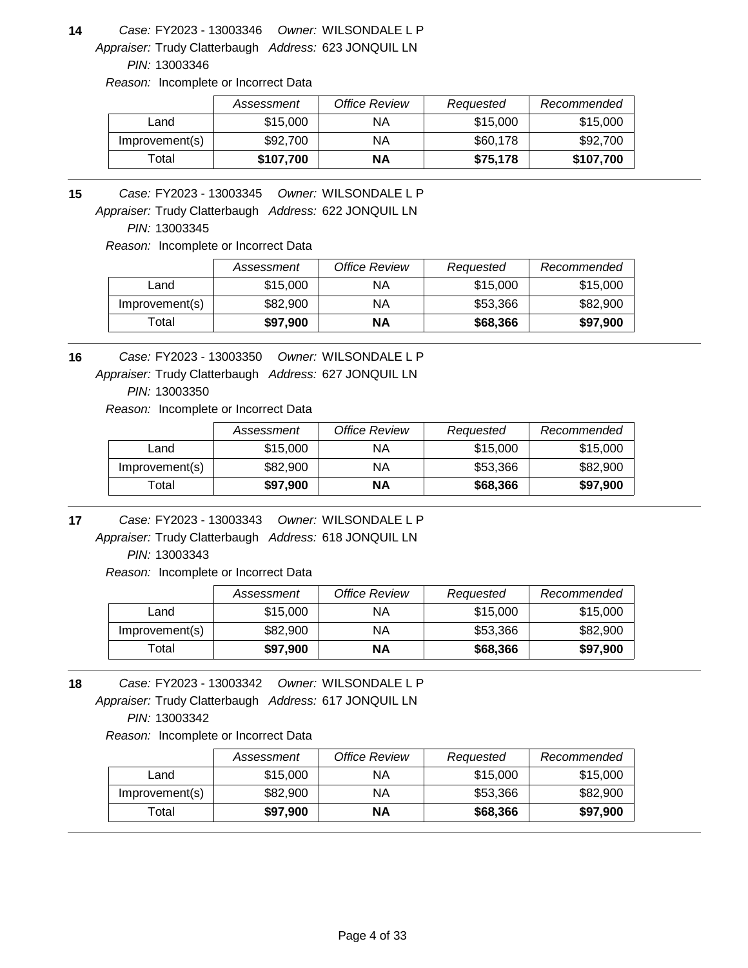Appraiser: Trudy Clatterbaugh Address: 623 JONQUIL LN **14** *Owner:* WILSONDALE L P FY2023 - 13003346 *Case:*

*PIN:* 13003346

*Reason:* Incomplete or Incorrect Data

|                | Assessment | Office Review | Requested | Recommended |
|----------------|------------|---------------|-----------|-------------|
| Land           | \$15,000   | ΝA            | \$15,000  | \$15,000    |
| Improvement(s) | \$92,700   | ΝA            | \$60,178  | \$92,700    |
| Total          | \$107,700  | <b>NA</b>     | \$75,178  | \$107,700   |

**15** *Owner:* WILSONDALE L P FY2023 - 13003345 *Case:*

Appraiser: Trudy Clatterbaugh Address: 622 JONQUIL LN

*PIN:* 13003345

*Reason:* Incomplete or Incorrect Data

|                   | Assessment | Office Review | Requested | Recommended |
|-------------------|------------|---------------|-----------|-------------|
| Land              | \$15,000   | ΝA            | \$15,000  | \$15,000    |
| Improvement(s)    | \$82,900   | ΝA            | \$53.366  | \$82,900    |
| <sup>-</sup> otal | \$97,900   | ΝA            | \$68,366  | \$97,900    |

**16** *Owner:* WILSONDALE L P FY2023 - 13003350 *Case:*

Appraiser: Trudy Clatterbaugh Address: 627 JONQUIL LN

*PIN:* 13003350

*Reason:* Incomplete or Incorrect Data

|                | Assessment | Office Review | Reauested | Recommended |
|----------------|------------|---------------|-----------|-------------|
| Land           | \$15,000   | ΝA            | \$15,000  | \$15,000    |
| Improvement(s) | \$82,900   | ΝA            | \$53.366  | \$82,900    |
| Гоtal          | \$97,900   | ΝA            | \$68,366  | \$97,900    |

**17** *Owner:* WILSONDALE L P FY2023 - 13003343 *Case:*

Appraiser: Trudy Clatterbaugh Address: 618 JONQUIL LN *PIN:* 13003343

*Reason:* Incomplete or Incorrect Data

|                | Assessment | Office Review | Requested | Recommended |
|----------------|------------|---------------|-----------|-------------|
| Land           | \$15,000   | ΝA            | \$15,000  | \$15,000    |
| Improvement(s) | \$82,900   | ΝA            | \$53,366  | \$82,900    |
| Гоtal          | \$97,900   | NΑ            | \$68,366  | \$97,900    |

Appraiser: Trudy Clatterbaugh Address: 617 JONQUIL LN **18** *Owner:* WILSONDALE L P FY2023 - 13003342 *Case: PIN:* 13003342

|                | Assessment | Office Review | Requested | Recommended |
|----------------|------------|---------------|-----------|-------------|
| Land           | \$15,000   | ΝA            | \$15,000  | \$15,000    |
| Improvement(s) | \$82,900   | ΝA            | \$53,366  | \$82,900    |
| $\tau$ otal    | \$97,900   | NΑ            | \$68,366  | \$97,900    |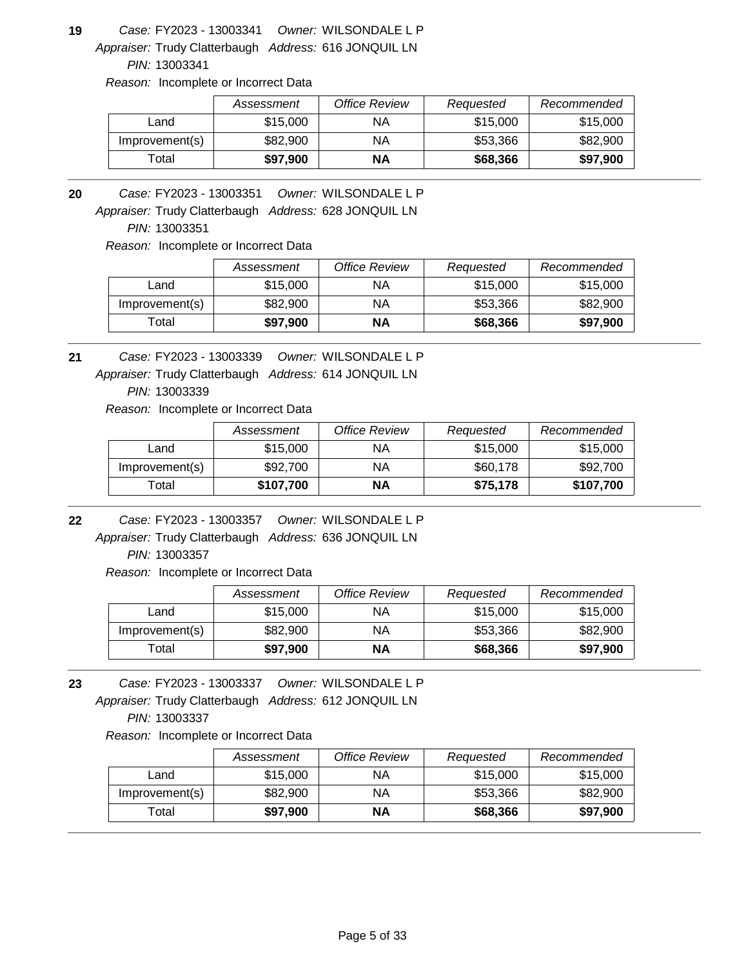Appraiser: Trudy Clatterbaugh Address: 616 JONQUIL LN **19** *Owner:* WILSONDALE L P FY2023 - 13003341 *Case:*

*PIN:* 13003341

*Reason:* Incomplete or Incorrect Data

|                | Assessment | Office Review | Requested | Recommended |
|----------------|------------|---------------|-----------|-------------|
| Land           | \$15,000   | ΝA            | \$15,000  | \$15,000    |
| Improvement(s) | \$82,900   | ΝA            | \$53,366  | \$82,900    |
| ⊺otal          | \$97.900   | NΑ            | \$68,366  | \$97,900    |

**20** *Owner:* WILSONDALE L P FY2023 - 13003351 *Case:*

Appraiser: Trudy Clatterbaugh Address: 628 JONQUIL LN

*PIN:* 13003351

*Reason:* Incomplete or Incorrect Data

|                | Assessment | Office Review | Requested | Recommended |
|----------------|------------|---------------|-----------|-------------|
| Land           | \$15,000   | ΝA            | \$15,000  | \$15,000    |
| Improvement(s) | \$82,900   | ΝA            | \$53.366  | \$82,900    |
| Гоtal          | \$97,900   | ΝA            | \$68,366  | \$97,900    |

Appraiser: Trudy Clatterbaugh Address: 614 JONQUIL LN **21** *Owner:* WILSONDALE L P FY2023 - 13003339 *Case:*

*PIN:* 13003339

*Reason:* Incomplete or Incorrect Data

|                | Assessment | Office Review | Requested | Recommended |
|----------------|------------|---------------|-----------|-------------|
| Land           | \$15,000   | ΝA            | \$15,000  | \$15,000    |
| Improvement(s) | \$92,700   | ΝA            | \$60,178  | \$92,700    |
| Total          | \$107,700  | ΝA            | \$75.178  | \$107,700   |

**22** *Owner:* WILSONDALE L P FY2023 - 13003357 *Case:*

Appraiser: Trudy Clatterbaugh Address: 636 JONQUIL LN *PIN:* 13003357

*Reason:* Incomplete or Incorrect Data

|                | Assessment | Office Review | Requested | Recommended |
|----------------|------------|---------------|-----------|-------------|
| Land           | \$15,000   | ΝA            | \$15,000  | \$15,000    |
| Improvement(s) | \$82,900   | ΝA            | \$53,366  | \$82,900    |
| Гоtal          | \$97,900   | NΑ            | \$68,366  | \$97,900    |

Appraiser: Trudy Clatterbaugh Address: 612 JONQUIL LN **23** *Owner:* WILSONDALE L P FY2023 - 13003337 *Case: PIN:* 13003337

|                | Assessment | Office Review | Requested | Recommended |
|----------------|------------|---------------|-----------|-------------|
| Land           | \$15,000   | ΝA            | \$15,000  | \$15,000    |
| Improvement(s) | \$82,900   | ΝA            | \$53,366  | \$82,900    |
| $\tau$ otal    | \$97,900   | NΑ            | \$68,366  | \$97,900    |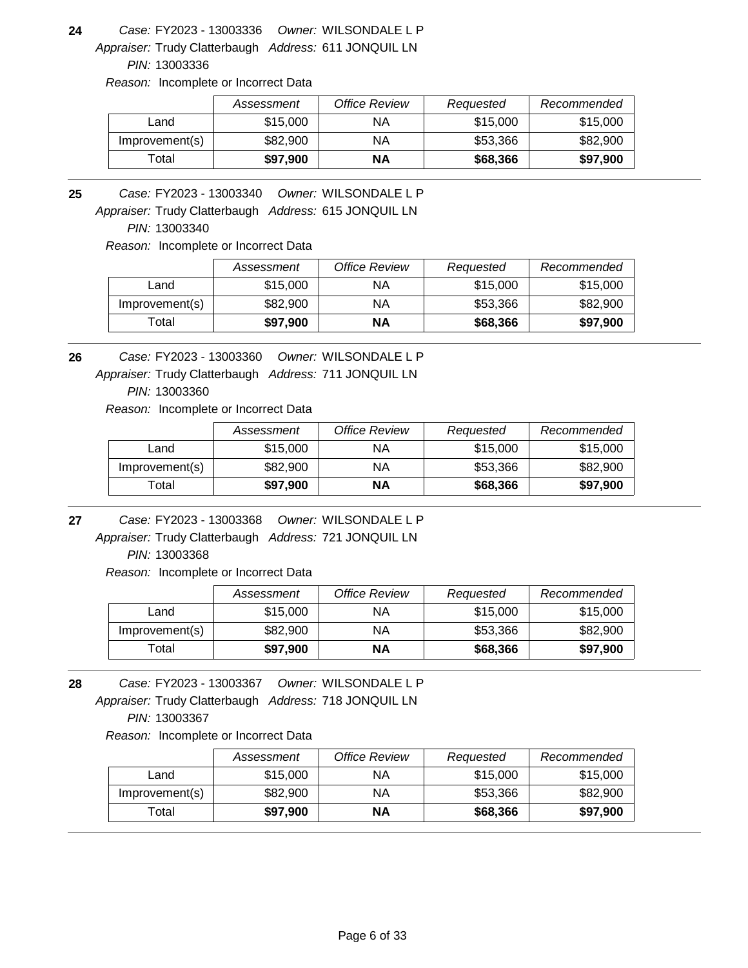Appraiser: Trudy Clatterbaugh Address: 611 JONQUIL LN **24** *Owner:* WILSONDALE L P FY2023 - 13003336 *Case:*

*PIN:* 13003336

*Reason:* Incomplete or Incorrect Data

|                | Assessment | Office Review | Requested | Recommended |
|----------------|------------|---------------|-----------|-------------|
| Land           | \$15,000   | ΝA            | \$15,000  | \$15,000    |
| Improvement(s) | \$82,900   | ΝA            | \$53,366  | \$82,900    |
| ⊺otal          | \$97.900   | NΑ            | \$68,366  | \$97,900    |

**25** *Owner:* WILSONDALE L P FY2023 - 13003340 *Case:*

Appraiser: Trudy Clatterbaugh Address: 615 JONQUIL LN

*PIN:* 13003340

*Reason:* Incomplete or Incorrect Data

|                | Assessment | <b>Office Review</b> | Requested | Recommended |
|----------------|------------|----------------------|-----------|-------------|
| Land           | \$15,000   | ΝA                   | \$15,000  | \$15,000    |
| Improvement(s) | \$82,900   | ΝA                   | \$53.366  | \$82,900    |
| Total          | \$97,900   | ΝA                   | \$68,366  | \$97,900    |

**26** *Owner:* WILSONDALE L P FY2023 - 13003360 *Case:*

Appraiser: Trudy Clatterbaugh Address: 711 JONQUIL LN

*PIN:* 13003360

*Reason:* Incomplete or Incorrect Data

|                | Assessment | Office Review | Requested | Recommended |
|----------------|------------|---------------|-----------|-------------|
| Land           | \$15,000   | ΝA            | \$15,000  | \$15,000    |
| Improvement(s) | \$82,900   | ΝA            | \$53,366  | \$82,900    |
| Total          | \$97,900   | ΝA            | \$68,366  | \$97,900    |

**27** *Owner:* WILSONDALE L P FY2023 - 13003368 *Case:*

Appraiser: Trudy Clatterbaugh Address: 721 JONQUIL LN *PIN:* 13003368

*Reason:* Incomplete or Incorrect Data

|                | Assessment | <b>Office Review</b> | Requested | Recommended |
|----------------|------------|----------------------|-----------|-------------|
| Land           | \$15,000   | ΝA                   | \$15,000  | \$15,000    |
| Improvement(s) | \$82,900   | ΝA                   | \$53.366  | \$82,900    |
| ™otal          | \$97,900   | NΑ                   | \$68,366  | \$97,900    |

Appraiser: Trudy Clatterbaugh Address: 718 JONQUIL LN **28** *Owner:* WILSONDALE L P FY2023 - 13003367 *Case: PIN:* 13003367

|                | Assessment | Office Review | Requested | Recommended |
|----------------|------------|---------------|-----------|-------------|
| Land           | \$15,000   | ΝA            | \$15,000  | \$15,000    |
| Improvement(s) | \$82,900   | ΝA            | \$53,366  | \$82,900    |
| $\tau$ otal    | \$97,900   | NΑ            | \$68,366  | \$97,900    |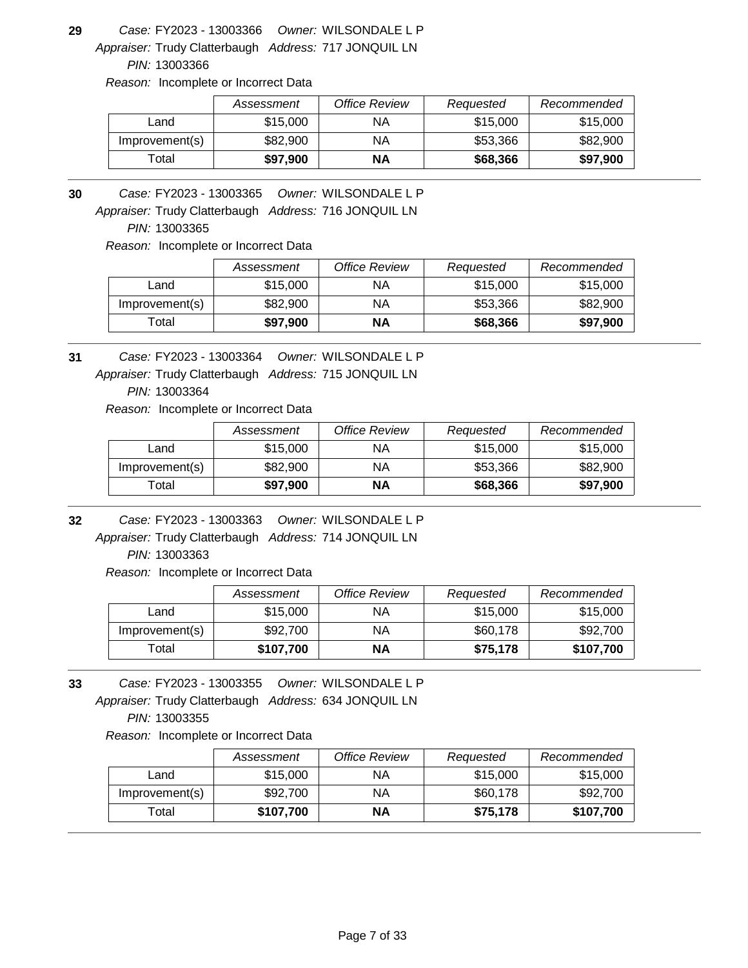Appraiser: Trudy Clatterbaugh Address: 717 JONQUIL LN **29** *Owner:* WILSONDALE L P FY2023 - 13003366 *Case:*

*PIN:* 13003366

*Reason:* Incomplete or Incorrect Data

|                | Assessment | Office Review | Requested | Recommended |
|----------------|------------|---------------|-----------|-------------|
| Land           | \$15,000   | ΝA            | \$15,000  | \$15,000    |
| Improvement(s) | \$82,900   | ΝA            | \$53,366  | \$82,900    |
| ⊺otal          | \$97,900   | <b>NA</b>     | \$68,366  | \$97,900    |

**30** *Owner:* WILSONDALE L P FY2023 - 13003365 *Case:*

Appraiser: Trudy Clatterbaugh Address: 716 JONQUIL LN

*PIN:* 13003365

*Reason:* Incomplete or Incorrect Data

|                | Assessment | Office Review | Requested | Recommended |
|----------------|------------|---------------|-----------|-------------|
| Land           | \$15,000   | ΝA            | \$15,000  | \$15,000    |
| Improvement(s) | \$82,900   | ΝA            | \$53.366  | \$82,900    |
| Гоtal          | \$97.900   | ΝA            | \$68,366  | \$97,900    |

**31** *Owner:* WILSONDALE L P FY2023 - 13003364 *Case:*

Appraiser: Trudy Clatterbaugh Address: 715 JONQUIL LN

*PIN:* 13003364

*Reason:* Incomplete or Incorrect Data

|                | Assessment | Office Review | Requested | Recommended |
|----------------|------------|---------------|-----------|-------------|
| Land           | \$15,000   | ΝA            | \$15,000  | \$15,000    |
| Improvement(s) | \$82,900   | ΝA            | \$53.366  | \$82,900    |
| Total          | \$97,900   | ΝA            | \$68,366  | \$97,900    |

**32** *Owner:* WILSONDALE L P FY2023 - 13003363 *Case:*

Appraiser: Trudy Clatterbaugh Address: 714 JONQUIL LN *PIN:* 13003363

*Reason:* Incomplete or Incorrect Data

|                | Assessment | Office Review | Requested | Recommended |
|----------------|------------|---------------|-----------|-------------|
| Land           | \$15,000   | ΝA            | \$15,000  | \$15,000    |
| Improvement(s) | \$92,700   | ΝA            | \$60,178  | \$92,700    |
| Total          | \$107,700  | ΝA            | \$75,178  | \$107,700   |

Appraiser: Trudy Clatterbaugh Address: 634 JONQUIL LN **33** *Owner:* WILSONDALE L P FY2023 - 13003355 *Case: PIN:* 13003355

|                | Assessment | Office Review | Requested | Recommended |
|----------------|------------|---------------|-----------|-------------|
| Land           | \$15,000   | ΝA            | \$15,000  | \$15,000    |
| Improvement(s) | \$92,700   | ΝA            | \$60,178  | \$92,700    |
| $\tau$ otal    | \$107,700  | NΑ            | \$75.178  | \$107,700   |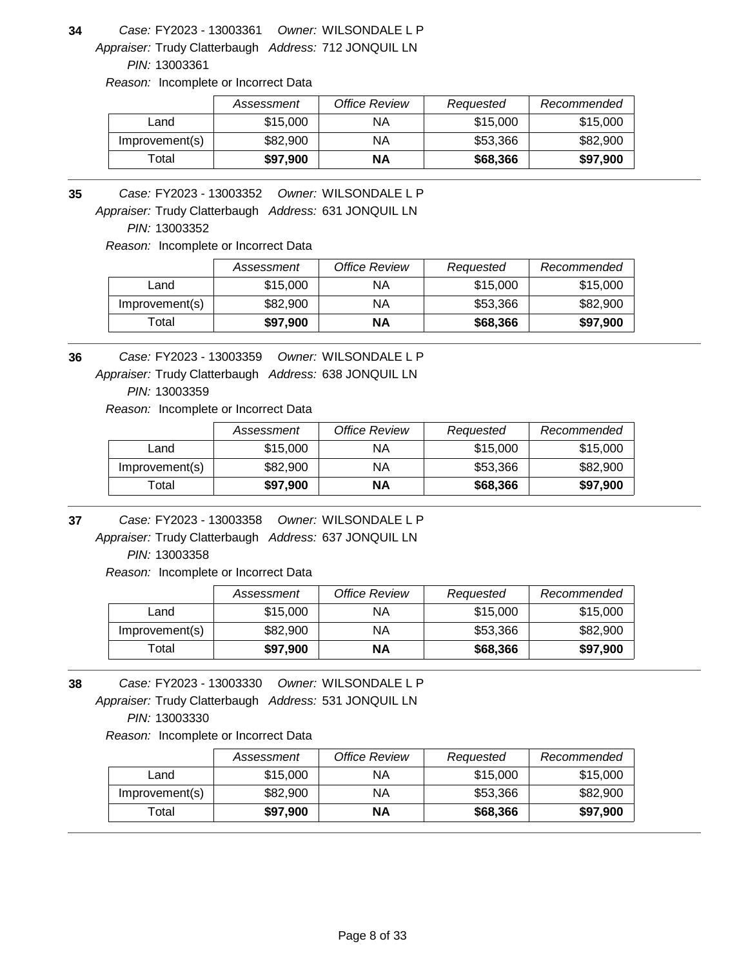Appraiser: Trudy Clatterbaugh Address: 712 JONQUIL LN **34** *Owner:* WILSONDALE L P FY2023 - 13003361 *Case:*

*PIN:* 13003361

*Reason:* Incomplete or Incorrect Data

|                | Assessment | Office Review | Requested | Recommended |
|----------------|------------|---------------|-----------|-------------|
| ∟and           | \$15,000   | ΝA            | \$15,000  | \$15,000    |
| Improvement(s) | \$82,900   | ΝA            | \$53,366  | \$82,900    |
| ⊺otal          | \$97,900   | <b>NA</b>     | \$68,366  | \$97,900    |

**35** *Owner:* WILSONDALE L P FY2023 - 13003352 *Case:*

Appraiser: Trudy Clatterbaugh Address: 631 JONQUIL LN

*PIN:* 13003352

*Reason:* Incomplete or Incorrect Data

|                | Assessment | Office Review | Requested | Recommended |
|----------------|------------|---------------|-----------|-------------|
| Land           | \$15,000   | ΝA            | \$15,000  | \$15,000    |
| Improvement(s) | \$82,900   | ΝA            | \$53.366  | \$82,900    |
| Гоtal          | \$97.900   | ΝA            | \$68,366  | \$97,900    |

**36** *Owner:* WILSONDALE L P FY2023 - 13003359 *Case:*

Appraiser: Trudy Clatterbaugh Address: 638 JONQUIL LN

*PIN:* 13003359

*Reason:* Incomplete or Incorrect Data

|                | Assessment | Office Review | Requested | Recommended |
|----------------|------------|---------------|-----------|-------------|
| Land           | \$15,000   | ΝA            | \$15,000  | \$15,000    |
| Improvement(s) | \$82,900   | ΝA            | \$53.366  | \$82,900    |
| Total          | \$97,900   | ΝA            | \$68,366  | \$97,900    |

**37** *Owner:* WILSONDALE L P FY2023 - 13003358 *Case:*

Appraiser: Trudy Clatterbaugh Address: 637 JONQUIL LN *PIN:* 13003358

*Reason:* Incomplete or Incorrect Data

|                | Assessment | <b>Office Review</b> | Requested | Recommended |
|----------------|------------|----------------------|-----------|-------------|
| Land           | \$15,000   | ΝA                   | \$15,000  | \$15,000    |
| Improvement(s) | \$82,900   | ΝA                   | \$53.366  | \$82,900    |
| ™otal          | \$97,900   | NΑ                   | \$68,366  | \$97,900    |

Appraiser: Trudy Clatterbaugh Address: 531 JONQUIL LN **38** *Owner:* WILSONDALE L P FY2023 - 13003330 *Case: PIN:* 13003330

|                | Assessment | Office Review | Requested | Recommended |
|----------------|------------|---------------|-----------|-------------|
| Land           | \$15,000   | ΝA            | \$15,000  | \$15,000    |
| Improvement(s) | \$82,900   | ΝA            | \$53.366  | \$82,900    |
| Total          | \$97,900   | ΝA            | \$68,366  | \$97,900    |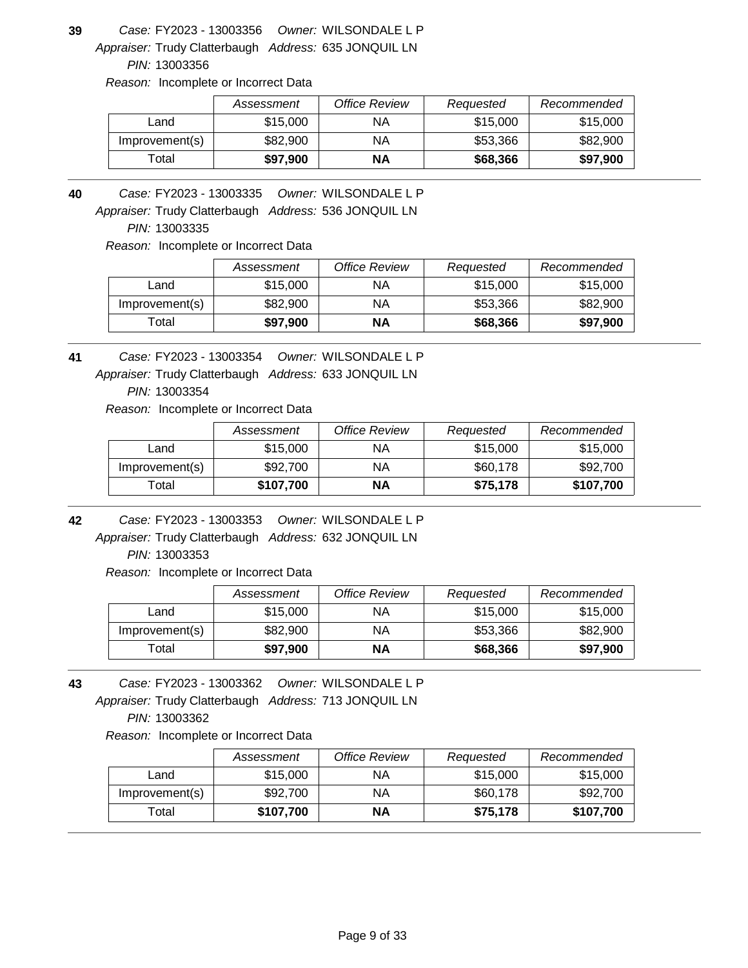Appraiser: Trudy Clatterbaugh Address: 635 JONQUIL LN **39** *Owner:* WILSONDALE L P FY2023 - 13003356 *Case:*

*PIN:* 13003356

*Reason:* Incomplete or Incorrect Data

|                | Assessment | Office Review | Requested | Recommended |
|----------------|------------|---------------|-----------|-------------|
| ∟and           | \$15,000   | ΝA            | \$15,000  | \$15,000    |
| Improvement(s) | \$82,900   | ΝA            | \$53,366  | \$82,900    |
| ⊺otal          | \$97,900   | <b>NA</b>     | \$68,366  | \$97,900    |

Appraiser: Trudy Clatterbaugh Address: 536 JONQUIL LN **40** *Owner:* WILSONDALE L P FY2023 - 13003335 *Case:*

*PIN:* 13003335

*Reason:* Incomplete or Incorrect Data

|                | Assessment | Office Review | Requested | Recommended |
|----------------|------------|---------------|-----------|-------------|
| Land           | \$15,000   | ΝA            | \$15,000  | \$15,000    |
| Improvement(s) | \$82,900   | ΝA            | \$53.366  | \$82,900    |
| Total          | \$97,900   | <b>NA</b>     | \$68,366  | \$97,900    |

Appraiser: Trudy Clatterbaugh Address: 633 JONQUIL LN **41** *Owner:* WILSONDALE L P FY2023 - 13003354 *Case:*

*PIN:* 13003354

*Reason:* Incomplete or Incorrect Data

|                | Assessment | Office Review | Requested | Recommended |
|----------------|------------|---------------|-----------|-------------|
| Land           | \$15,000   | ΝA            | \$15,000  | \$15,000    |
| Improvement(s) | \$92,700   | ΝA            | \$60,178  | \$92,700    |
| Total          | \$107,700  | ΝA            | \$75.178  | \$107,700   |

**42** *Owner:* WILSONDALE L P FY2023 - 13003353 *Case:*

Appraiser: Trudy Clatterbaugh Address: 632 JONQUIL LN *PIN:* 13003353

*Reason:* Incomplete or Incorrect Data

|                | Assessment | Office Review | Requested | Recommended |
|----------------|------------|---------------|-----------|-------------|
| Land           | \$15,000   | ΝA            | \$15,000  | \$15,000    |
| Improvement(s) | \$82,900   | ΝA            | \$53,366  | \$82,900    |
| Гоtal          | \$97,900   | NΑ            | \$68,366  | \$97,900    |

Appraiser: Trudy Clatterbaugh Address: 713 JONQUIL LN **43** *Owner:* WILSONDALE L P FY2023 - 13003362 *Case: PIN:* 13003362

|                  | Assessment | Office Review | Requested | Recommended |
|------------------|------------|---------------|-----------|-------------|
| Land             | \$15,000   | ΝA            | \$15,000  | \$15,000    |
| Improvement(s)   | \$92,700   | ΝA            | \$60,178  | \$92,700    |
| $\mathsf{Total}$ | \$107,700  | ΝA            | \$75.178  | \$107,700   |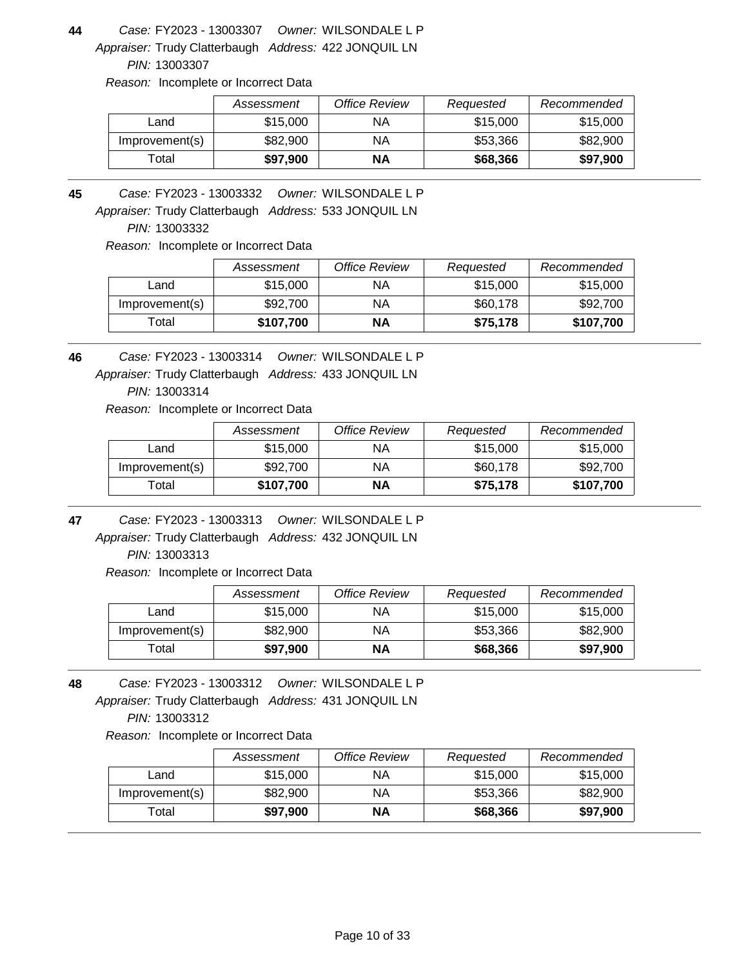Appraiser: Trudy Clatterbaugh Address: 422 JONQUIL LN **44** *Owner:* WILSONDALE L P FY2023 - 13003307 *Case:*

*PIN:* 13003307

*Reason:* Incomplete or Incorrect Data

|                | Assessment | Office Review | Requested | Recommended |
|----------------|------------|---------------|-----------|-------------|
| Land           | \$15,000   | ΝA            | \$15,000  | \$15,000    |
| Improvement(s) | \$82,900   | ΝA            | \$53,366  | \$82,900    |
| Γotal          | \$97.900   | NΑ            | \$68,366  | \$97,900    |

Appraiser: Trudy Clatterbaugh Address: 533 JONQUIL LN **45** *Owner:* WILSONDALE L P FY2023 - 13003332 *Case:*

*PIN:* 13003332

*Reason:* Incomplete or Incorrect Data

|                | Assessment | Office Review | Requested | Recommended |
|----------------|------------|---------------|-----------|-------------|
| Land           | \$15,000   | ΝA            | \$15,000  | \$15,000    |
| Improvement(s) | \$92,700   | ΝA            | \$60,178  | \$92,700    |
| Total          | \$107,700  | ΝA            | \$75,178  | \$107,700   |

**46** *Owner:* WILSONDALE L P FY2023 - 13003314 *Case:*

Appraiser: Trudy Clatterbaugh Address: 433 JONQUIL LN

*PIN:* 13003314

*Reason:* Incomplete or Incorrect Data

|                | Assessment | Office Review | Requested | Recommended |
|----------------|------------|---------------|-----------|-------------|
| Land           | \$15,000   | ΝA            | \$15,000  | \$15,000    |
| Improvement(s) | \$92,700   | ΝA            | \$60,178  | \$92,700    |
| Total          | \$107,700  | ΝA            | \$75.178  | \$107,700   |

**47** *Owner:* WILSONDALE L P FY2023 - 13003313 *Case:*

Appraiser: Trudy Clatterbaugh Address: 432 JONQUIL LN *PIN:* 13003313

*Reason:* Incomplete or Incorrect Data

|                | Assessment | <b>Office Review</b> | Requested | Recommended |
|----------------|------------|----------------------|-----------|-------------|
| Land           | \$15,000   | ΝA                   | \$15,000  | \$15,000    |
| Improvement(s) | \$82,900   | ΝA                   | \$53.366  | \$82,900    |
| ™otal          | \$97,900   | NΑ                   | \$68,366  | \$97,900    |

Appraiser: Trudy Clatterbaugh Address: 431 JONQUIL LN **48** *Owner:* WILSONDALE L P FY2023 - 13003312 *Case: PIN:* 13003312

|                | Assessment | Office Review | Requested | Recommended |
|----------------|------------|---------------|-----------|-------------|
| Land           | \$15,000   | ΝA            | \$15,000  | \$15,000    |
| Improvement(s) | \$82,900   | ΝA            | \$53,366  | \$82,900    |
| $\tau$ otal    | \$97,900   | NΑ            | \$68,366  | \$97,900    |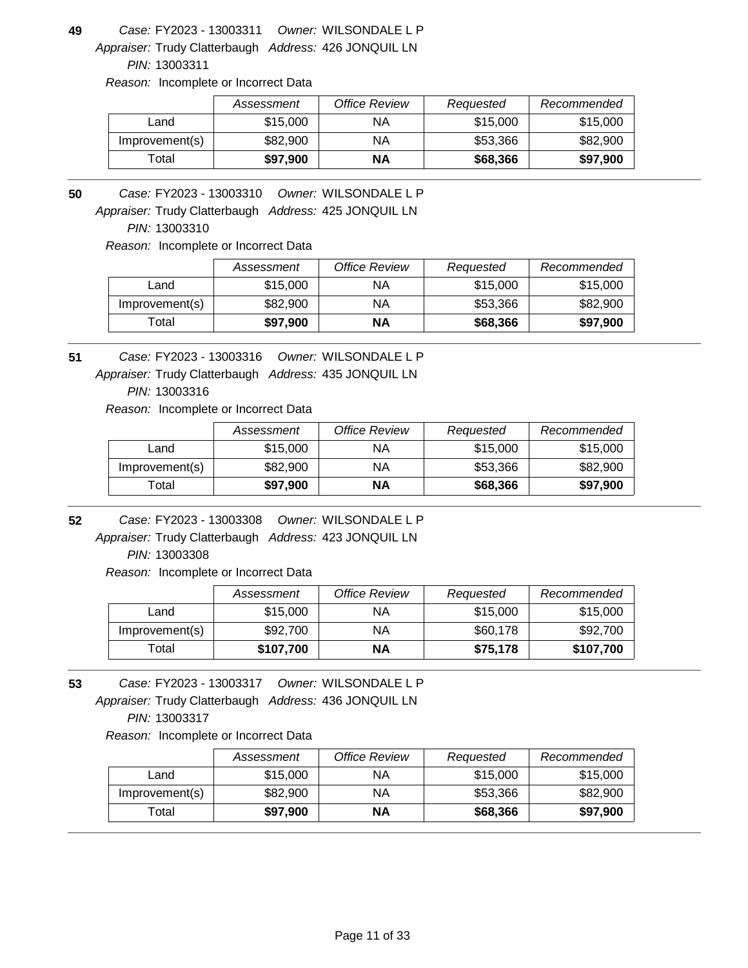Appraiser: Trudy Clatterbaugh Address: 426 JONQUIL LN **49** *Owner:* WILSONDALE L P FY2023 - 13003311 *Case:*

*PIN:* 13003311

*Reason:* Incomplete or Incorrect Data

|                | Assessment | Office Review | Requested | Recommended |
|----------------|------------|---------------|-----------|-------------|
| ∟and           | \$15,000   | ΝA            | \$15,000  | \$15,000    |
| Improvement(s) | \$82,900   | ΝA            | \$53,366  | \$82,900    |
| ⊺otal          | \$97,900   | <b>NA</b>     | \$68,366  | \$97,900    |

**50** *Owner:* WILSONDALE L P FY2023 - 13003310 *Case:*

Appraiser: Trudy Clatterbaugh Address: 425 JONQUIL LN

*PIN:* 13003310

*Reason:* Incomplete or Incorrect Data

|                   | Assessment | Office Review | Requested | Recommended |
|-------------------|------------|---------------|-----------|-------------|
| Land              | \$15,000   | ΝA            | \$15,000  | \$15,000    |
| Improvement(s)    | \$82,900   | ΝA            | \$53.366  | \$82,900    |
| <sup>-</sup> otal | \$97.900   | ΝA            | \$68,366  | \$97,900    |

Appraiser: Trudy Clatterbaugh Address: 435 JONQUIL LN **51** *Owner:* WILSONDALE L P FY2023 - 13003316 *Case:*

*PIN:* 13003316

*Reason:* Incomplete or Incorrect Data

|                | Assessment | Office Review | Requested | Recommended |
|----------------|------------|---------------|-----------|-------------|
| Land           | \$15,000   | ΝA            | \$15,000  | \$15,000    |
| Improvement(s) | \$82,900   | ΝA            | \$53.366  | \$82,900    |
| Total          | \$97,900   | ΝA            | \$68,366  | \$97,900    |

**52** *Owner:* WILSONDALE L P FY2023 - 13003308 *Case:*

Appraiser: Trudy Clatterbaugh Address: 423 JONQUIL LN *PIN:* 13003308

*Reason:* Incomplete or Incorrect Data

|                | Assessment | Office Review | Requested | Recommended |
|----------------|------------|---------------|-----------|-------------|
| Land           | \$15,000   | ΝA            | \$15,000  | \$15,000    |
| Improvement(s) | \$92,700   | ΝA            | \$60,178  | \$92,700    |
| Total          | \$107,700  | ΝA            | \$75,178  | \$107,700   |

Appraiser: Trudy Clatterbaugh Address: 436 JONQUIL LN **53** *Owner:* WILSONDALE L P FY2023 - 13003317 *Case: PIN:* 13003317

|                | Assessment | Office Review | Requested | Recommended |
|----------------|------------|---------------|-----------|-------------|
| Land           | \$15,000   | ΝA            | \$15,000  | \$15,000    |
| Improvement(s) | \$82,900   | ΝA            | \$53,366  | \$82,900    |
| $\tau$ otal    | \$97,900   | NΑ            | \$68,366  | \$97,900    |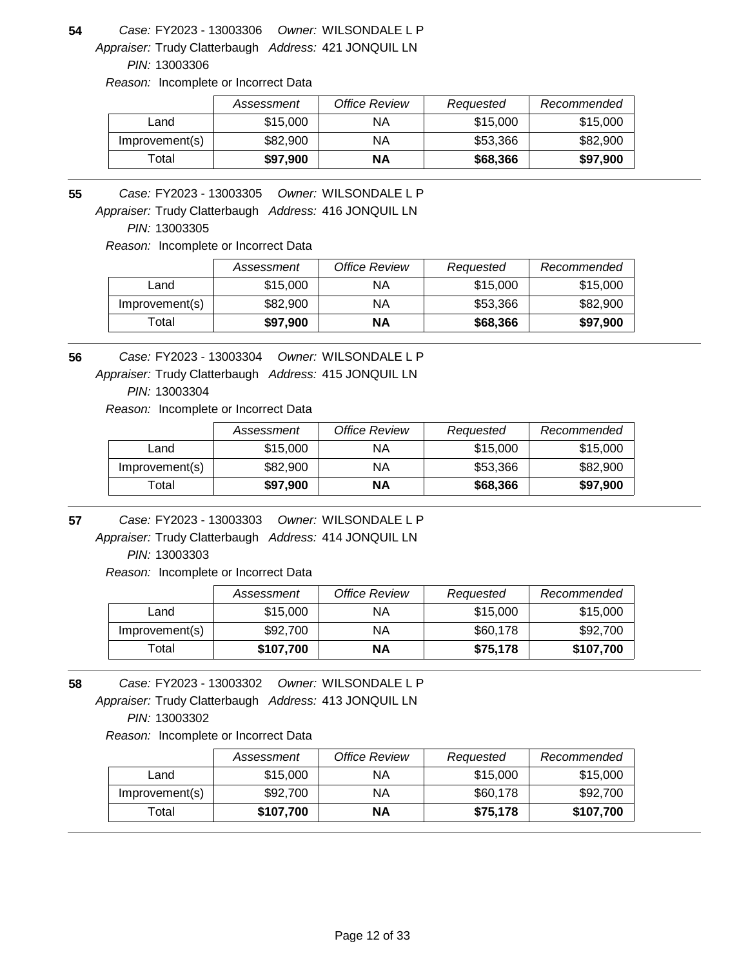Appraiser: Trudy Clatterbaugh Address: 421 JONQUIL LN **54** *Owner:* WILSONDALE L P FY2023 - 13003306 *Case:*

*PIN:* 13003306

*Reason:* Incomplete or Incorrect Data

|                | Assessment | Office Review | Requested | Recommended |
|----------------|------------|---------------|-----------|-------------|
| Land           | \$15,000   | ΝA            | \$15,000  | \$15,000    |
| Improvement(s) | \$82,900   | ΝA            | \$53,366  | \$82,900    |
| ⊺otal          | \$97.900   | NΑ            | \$68,366  | \$97,900    |

**55** *Owner:* WILSONDALE L P FY2023 - 13003305 *Case:*

Appraiser: Trudy Clatterbaugh Address: 416 JONQUIL LN

*PIN:* 13003305

*Reason:* Incomplete or Incorrect Data

|                   | Assessment | Office Review | Requested | Recommended |
|-------------------|------------|---------------|-----------|-------------|
| Land              | \$15,000   | ΝA            | \$15,000  | \$15,000    |
| Improvement(s)    | \$82,900   | ΝA            | \$53.366  | \$82,900    |
| <sup>-</sup> otal | \$97,900   | ΝA            | \$68,366  | \$97,900    |

**56** *Owner:* WILSONDALE L P FY2023 - 13003304 *Case:*

Appraiser: Trudy Clatterbaugh Address: 415 JONQUIL LN

*PIN:* 13003304

*Reason:* Incomplete or Incorrect Data

|                | Assessment | Office Review | Requested | Recommended |
|----------------|------------|---------------|-----------|-------------|
| Land           | \$15,000   | ΝA            | \$15,000  | \$15,000    |
| Improvement(s) | \$82,900   | ΝA            | \$53,366  | \$82,900    |
| Total          | \$97.900   | NΑ            | \$68,366  | \$97,900    |

**57** *Owner:* WILSONDALE L P FY2023 - 13003303 *Case:*

Appraiser: Trudy Clatterbaugh Address: 414 JONQUIL LN *PIN:* 13003303

*Reason:* Incomplete or Incorrect Data

|                | Assessment | Office Review | Requested | Recommended |
|----------------|------------|---------------|-----------|-------------|
| Land           | \$15,000   | ΝA            | \$15,000  | \$15,000    |
| Improvement(s) | \$92,700   | ΝA            | \$60,178  | \$92,700    |
| Total          | \$107,700  | ΝA            | \$75,178  | \$107,700   |

Appraiser: Trudy Clatterbaugh Address: 413 JONQUIL LN **58** *Owner:* WILSONDALE L P FY2023 - 13003302 *Case: PIN:* 13003302

|                | Assessment | Office Review | Requested | Recommended |
|----------------|------------|---------------|-----------|-------------|
| Land           | \$15,000   | ΝA            | \$15,000  | \$15,000    |
| Improvement(s) | \$92,700   | ΝA            | \$60,178  | \$92,700    |
| $\tau$ otal    | \$107,700  | NΑ            | \$75.178  | \$107,700   |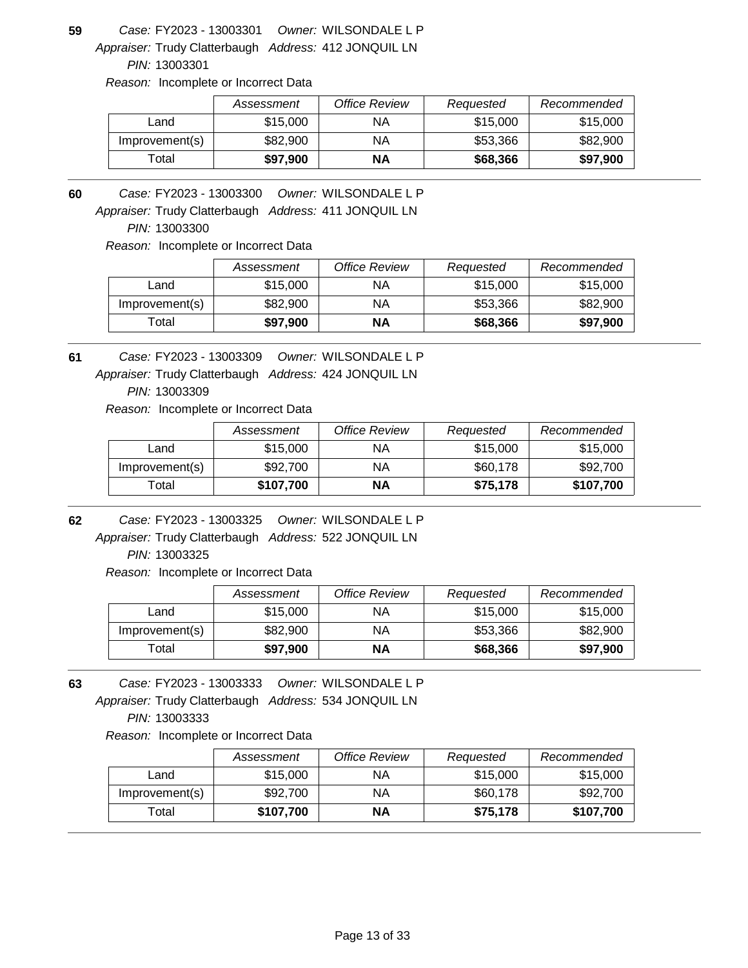Appraiser: Trudy Clatterbaugh Address: 412 JONQUIL LN **59** *Owner:* WILSONDALE L P FY2023 - 13003301 *Case:*

*PIN:* 13003301

*Reason:* Incomplete or Incorrect Data

|                | Assessment | Office Review | Requested | Recommended |
|----------------|------------|---------------|-----------|-------------|
| ∟and           | \$15,000   | ΝA            | \$15,000  | \$15,000    |
| Improvement(s) | \$82,900   | ΝA            | \$53,366  | \$82,900    |
| ⊺otal          | \$97,900   | <b>NA</b>     | \$68,366  | \$97,900    |

**60** *Owner:* WILSONDALE L P FY2023 - 13003300 *Case:*

Appraiser: Trudy Clatterbaugh Address: 411 JONQUIL LN

*PIN:* 13003300

*Reason:* Incomplete or Incorrect Data

|                | Assessment | Office Review | Requested | Recommended |
|----------------|------------|---------------|-----------|-------------|
| Land           | \$15,000   | ΝA            | \$15,000  | \$15,000    |
| Improvement(s) | \$82,900   | ΝA            | \$53.366  | \$82,900    |
| Гоtal          | \$97.900   | ΝA            | \$68,366  | \$97,900    |

**61** *Owner:* WILSONDALE L P FY2023 - 13003309 *Case:*

Appraiser: Trudy Clatterbaugh Address: 424 JONQUIL LN

*PIN:* 13003309

*Reason:* Incomplete or Incorrect Data

|                | Assessment | Office Review | Requested | Recommended |
|----------------|------------|---------------|-----------|-------------|
| Land           | \$15,000   | ΝA            | \$15,000  | \$15,000    |
| Improvement(s) | \$92,700   | ΝA            | \$60,178  | \$92,700    |
| Total          | \$107,700  | ΝA            | \$75,178  | \$107,700   |

**62** *Owner:* WILSONDALE L P FY2023 - 13003325 *Case:*

Appraiser: Trudy Clatterbaugh Address: 522 JONQUIL LN *PIN:* 13003325

*Reason:* Incomplete or Incorrect Data

|                | Assessment | <b>Office Review</b> | Requested | Recommended |
|----------------|------------|----------------------|-----------|-------------|
| Land           | \$15,000   | ΝA                   | \$15,000  | \$15,000    |
| Improvement(s) | \$82,900   | ΝA                   | \$53.366  | \$82,900    |
| ™otal          | \$97,900   | NΑ                   | \$68,366  | \$97,900    |

Appraiser: Trudy Clatterbaugh Address: 534 JONQUIL LN **63** *Owner:* WILSONDALE L P FY2023 - 13003333 *Case: PIN:* 13003333

|                  | Assessment | Office Review | Requested | Recommended |
|------------------|------------|---------------|-----------|-------------|
| Land             | \$15,000   | ΝA            | \$15,000  | \$15,000    |
| Improvement(s)   | \$92,700   | ΝA            | \$60,178  | \$92,700    |
| $\mathsf{Total}$ | \$107,700  | ΝA            | \$75.178  | \$107,700   |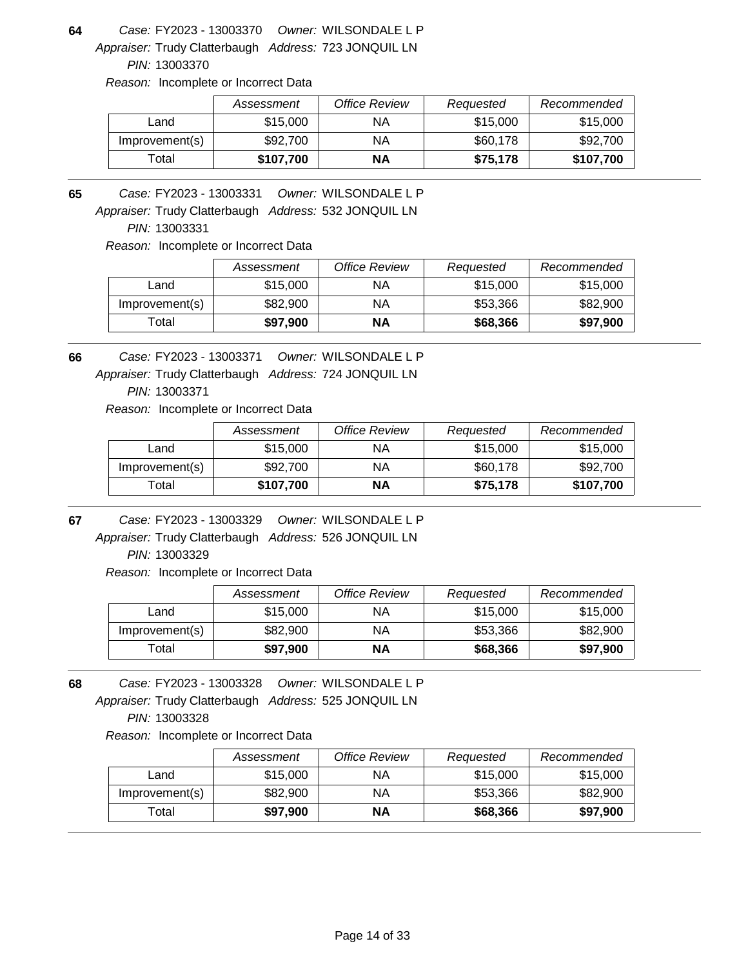Appraiser: Trudy Clatterbaugh Address: 723 JONQUIL LN **64** *Owner:* WILSONDALE L P FY2023 - 13003370 *Case:*

*PIN:* 13003370

*Reason:* Incomplete or Incorrect Data

|                | Assessment | <b>Office Review</b> | Requested | Recommended |
|----------------|------------|----------------------|-----------|-------------|
| Land           | \$15,000   | ΝA                   | \$15,000  | \$15,000    |
| Improvement(s) | \$92,700   | ΝA                   | \$60,178  | \$92,700    |
| $\tau$ otal    | \$107,700  | <b>NA</b>            | \$75,178  | \$107,700   |

**65** *Owner:* WILSONDALE L P FY2023 - 13003331 *Case:*

Appraiser: Trudy Clatterbaugh Address: 532 JONQUIL LN

*PIN:* 13003331

*Reason:* Incomplete or Incorrect Data

|                | Assessment | <b>Office Review</b> | Requested | Recommended |
|----------------|------------|----------------------|-----------|-------------|
| Land           | \$15,000   | ΝA                   | \$15,000  | \$15,000    |
| Improvement(s) | \$82,900   | ΝA                   | \$53.366  | \$82,900    |
| Гоtal          | \$97,900   | ΝA                   | \$68,366  | \$97,900    |

**66** *Owner:* WILSONDALE L P FY2023 - 13003371 *Case:*

Appraiser: Trudy Clatterbaugh Address: 724 JONQUIL LN

*PIN:* 13003371

*Reason:* Incomplete or Incorrect Data

|                | Assessment | Office Review | Requested | Recommended |
|----------------|------------|---------------|-----------|-------------|
| Land           | \$15,000   | ΝA            | \$15,000  | \$15,000    |
| Improvement(s) | \$92,700   | ΝA            | \$60,178  | \$92,700    |
| Total          | \$107,700  | ΝA            | \$75,178  | \$107,700   |

**67** *Owner:* WILSONDALE L P FY2023 - 13003329 *Case:*

Appraiser: Trudy Clatterbaugh Address: 526 JONQUIL LN *PIN:* 13003329

*Reason:* Incomplete or Incorrect Data

|                | Assessment | Office Review | Requested | Recommended |
|----------------|------------|---------------|-----------|-------------|
| Land           | \$15,000   | ΝA            | \$15,000  | \$15,000    |
| Improvement(s) | \$82,900   | ΝA            | \$53,366  | \$82,900    |
| Гоtal          | \$97,900   | NΑ            | \$68,366  | \$97,900    |

Appraiser: Trudy Clatterbaugh Address: 525 JONQUIL LN **68** *Owner:* WILSONDALE L P FY2023 - 13003328 *Case: PIN:* 13003328

|                | Assessment | Office Review | Requested | Recommended |
|----------------|------------|---------------|-----------|-------------|
| Land           | \$15,000   | ΝA            | \$15,000  | \$15,000    |
| Improvement(s) | \$82,900   | ΝA            | \$53.366  | \$82,900    |
| Total          | \$97,900   | ΝA            | \$68,366  | \$97,900    |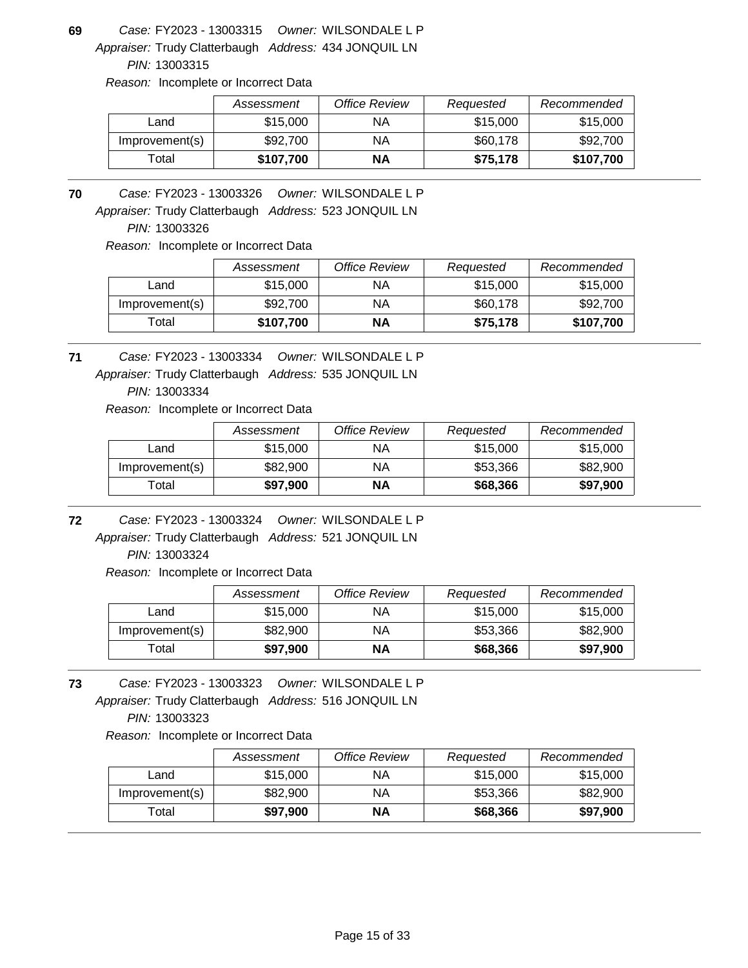Appraiser: Trudy Clatterbaugh Address: 434 JONQUIL LN **69** *Owner:* WILSONDALE L P FY2023 - 13003315 *Case:*

*PIN:* 13003315

*Reason:* Incomplete or Incorrect Data

|                | Assessment | Office Review | Requested | Recommended |
|----------------|------------|---------------|-----------|-------------|
| ∟and           | \$15,000   | ΝA            | \$15,000  | \$15,000    |
| Improvement(s) | \$92,700   | ΝA            | \$60,178  | \$92,700    |
| ™otal          | \$107,700  | <b>NA</b>     | \$75,178  | \$107,700   |

Appraiser: Trudy Clatterbaugh Address: 523 JONQUIL LN **70** *Owner:* WILSONDALE L P FY2023 - 13003326 *Case:*

*PIN:* 13003326

*Reason:* Incomplete or Incorrect Data

|                | Assessment | Office Review | Requested | Recommended |
|----------------|------------|---------------|-----------|-------------|
| Land           | \$15,000   | ΝA            | \$15,000  | \$15,000    |
| Improvement(s) | \$92,700   | ΝA            | \$60,178  | \$92,700    |
| Total          | \$107,700  | ΝA            | \$75,178  | \$107,700   |

Appraiser: Trudy Clatterbaugh Address: 535 JONQUIL LN **71** *Owner:* WILSONDALE L P FY2023 - 13003334 *Case:*

*PIN:* 13003334

*Reason:* Incomplete or Incorrect Data

|                | Assessment | Office Review | Requested | Recommended |
|----------------|------------|---------------|-----------|-------------|
| Land           | \$15,000   | ΝA            | \$15,000  | \$15,000    |
| Improvement(s) | \$82,900   | ΝA            | \$53.366  | \$82,900    |
| Total          | \$97,900   | ΝA            | \$68,366  | \$97,900    |

**72** *Owner:* WILSONDALE L P FY2023 - 13003324 *Case:*

Appraiser: Trudy Clatterbaugh Address: 521 JONQUIL LN *PIN:* 13003324

*Reason:* Incomplete or Incorrect Data

|                | Assessment | Office Review | Requested | Recommended |
|----------------|------------|---------------|-----------|-------------|
| Land           | \$15,000   | ΝA            | \$15,000  | \$15,000    |
| Improvement(s) | \$82,900   | ΝA            | \$53,366  | \$82,900    |
| Total          | \$97,900   | ΝA            | \$68,366  | \$97,900    |

Appraiser: Trudy Clatterbaugh Address: 516 JONQUIL LN **73** *Owner:* WILSONDALE L P FY2023 - 13003323 *Case: PIN:* 13003323

|                | Assessment | Office Review | Requested | Recommended |
|----------------|------------|---------------|-----------|-------------|
| Land           | \$15,000   | ΝA            | \$15,000  | \$15,000    |
| Improvement(s) | \$82,900   | ΝA            | \$53,366  | \$82,900    |
| $\tau$ otal    | \$97,900   | NΑ            | \$68,366  | \$97,900    |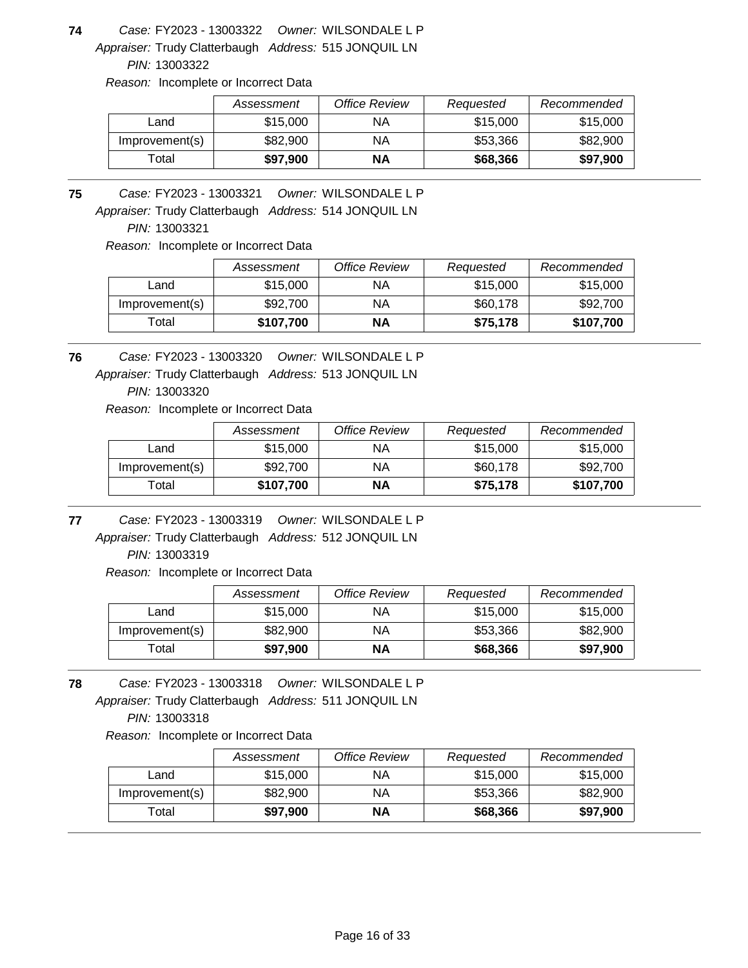Appraiser: Trudy Clatterbaugh Address: 515 JONQUIL LN **74** *Owner:* WILSONDALE L P FY2023 - 13003322 *Case:*

*PIN:* 13003322

*Reason:* Incomplete or Incorrect Data

|                | Assessment | Office Review | Requested | Recommended |
|----------------|------------|---------------|-----------|-------------|
| Land           | \$15,000   | ΝA            | \$15,000  | \$15,000    |
| Improvement(s) | \$82,900   | ΝA            | \$53,366  | \$82,900    |
| ⊺otal          | \$97.900   | NΑ            | \$68,366  | \$97,900    |

Appraiser: Trudy Clatterbaugh Address: 514 JONQUIL LN **75** *Owner:* WILSONDALE L P FY2023 - 13003321 *Case:*

*PIN:* 13003321

*Reason:* Incomplete or Incorrect Data

|                | Assessment | Office Review | Requested | Recommended |
|----------------|------------|---------------|-----------|-------------|
| Land           | \$15,000   | ΝA            | \$15,000  | \$15,000    |
| Improvement(s) | \$92,700   | ΝA            | \$60,178  | \$92,700    |
| Total          | \$107,700  | ΝA            | \$75,178  | \$107,700   |

Appraiser: Trudy Clatterbaugh Address: 513 JONQUIL LN **76** *Owner:* WILSONDALE L P FY2023 - 13003320 *Case:*

*PIN:* 13003320

*Reason:* Incomplete or Incorrect Data

|                | Assessment | Office Review | Requested | Recommended |
|----------------|------------|---------------|-----------|-------------|
| Land           | \$15,000   | ΝA            | \$15,000  | \$15,000    |
| Improvement(s) | \$92,700   | ΝA            | \$60,178  | \$92,700    |
| Total          | \$107,700  | ΝA            | \$75.178  | \$107,700   |

Appraiser: Trudy Clatterbaugh Address: 512 JONQUIL LN **77** *Owner:* WILSONDALE L P FY2023 - 13003319 *Case:*

*PIN:* 13003319

*Reason:* Incomplete or Incorrect Data

|                | Assessment | <b>Office Review</b> | Requested | Recommended |
|----------------|------------|----------------------|-----------|-------------|
| Land           | \$15,000   | ΝA                   | \$15,000  | \$15,000    |
| Improvement(s) | \$82,900   | ΝA                   | \$53.366  | \$82,900    |
| Total          | \$97,900   | ΝA                   | \$68,366  | \$97,900    |

Appraiser: Trudy Clatterbaugh Address: 511 JONQUIL LN **78** *Owner:* WILSONDALE L P FY2023 - 13003318 *Case: PIN:* 13003318

|                | Assessment | Office Review | Requested | Recommended |
|----------------|------------|---------------|-----------|-------------|
| Land           | \$15,000   | ΝA            | \$15,000  | \$15,000    |
| Improvement(s) | \$82,900   | ΝA            | \$53,366  | \$82,900    |
| ™otal          | \$97,900   | ΝA            | \$68,366  | \$97,900    |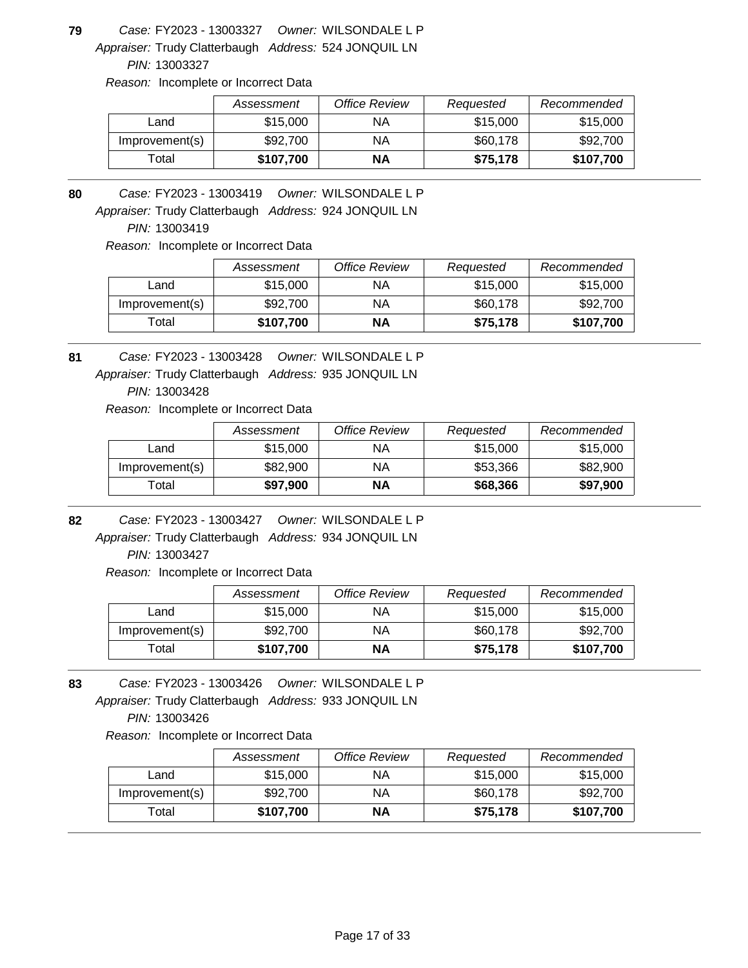Appraiser: Trudy Clatterbaugh Address: 524 JONQUIL LN **79** *Owner:* WILSONDALE L P FY2023 - 13003327 *Case:*

*PIN:* 13003327

*Reason:* Incomplete or Incorrect Data

|                | Assessment | Office Review | Requested | Recommended |
|----------------|------------|---------------|-----------|-------------|
| ∟and           | \$15,000   | ΝA            | \$15,000  | \$15,000    |
| Improvement(s) | \$92,700   | ΝA            | \$60,178  | \$92,700    |
| ™otal          | \$107,700  | <b>NA</b>     | \$75,178  | \$107,700   |

**80** *Owner:* WILSONDALE L P FY2023 - 13003419 *Case:*

Appraiser: Trudy Clatterbaugh Address: 924 JONQUIL LN

*PIN:* 13003419

*Reason:* Incomplete or Incorrect Data

|                   | Assessment | Office Review | Requested | Recommended |
|-------------------|------------|---------------|-----------|-------------|
| Land              | \$15,000   | ΝA            | \$15,000  | \$15,000    |
| Improvement(s)    | \$92,700   | ΝA            | \$60,178  | \$92,700    |
| <sup>-</sup> otal | \$107,700  | ΝA            | \$75.178  | \$107,700   |

Appraiser: Trudy Clatterbaugh Address: 935 JONQUIL LN **81** *Owner:* WILSONDALE L P FY2023 - 13003428 *Case:*

*PIN:* 13003428

*Reason:* Incomplete or Incorrect Data

|                | Assessment | Office Review | Requested | Recommended |
|----------------|------------|---------------|-----------|-------------|
| Land           | \$15,000   | ΝA            | \$15,000  | \$15,000    |
| Improvement(s) | \$82,900   | ΝA            | \$53.366  | \$82,900    |
| Total          | \$97,900   | ΝA            | \$68,366  | \$97,900    |

**82** *Owner:* WILSONDALE L P FY2023 - 13003427 *Case:*

Appraiser: Trudy Clatterbaugh Address: 934 JONQUIL LN *PIN:* 13003427

*Reason:* Incomplete or Incorrect Data

|                | Assessment | Office Review | Requested | Recommended |
|----------------|------------|---------------|-----------|-------------|
| Land           | \$15,000   | ΝA            | \$15,000  | \$15,000    |
| Improvement(s) | \$92,700   | ΝA            | \$60,178  | \$92,700    |
| Total          | \$107,700  | ΝA            | \$75,178  | \$107,700   |

Appraiser: Trudy Clatterbaugh Address: 933 JONQUIL LN **83** *Owner:* WILSONDALE L P FY2023 - 13003426 *Case: PIN:* 13003426

|                | Assessment | Office Review | Requested | Recommended |
|----------------|------------|---------------|-----------|-------------|
| Land           | \$15,000   | ΝA            | \$15,000  | \$15,000    |
| Improvement(s) | \$92,700   | ΝA            | \$60,178  | \$92,700    |
| $\tau$ otal    | \$107,700  | NΑ            | \$75.178  | \$107,700   |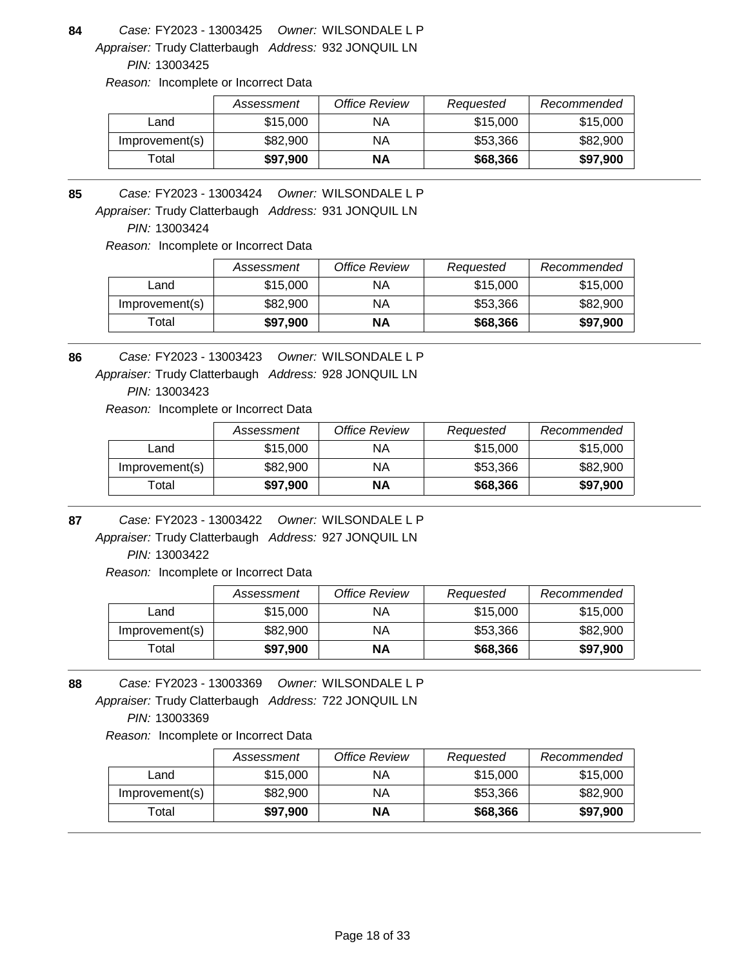Appraiser: Trudy Clatterbaugh Address: 932 JONQUIL LN **84** *Owner:* WILSONDALE L P FY2023 - 13003425 *Case:*

*PIN:* 13003425

*Reason:* Incomplete or Incorrect Data

|                | Assessment | Office Review | Requested | Recommended |
|----------------|------------|---------------|-----------|-------------|
| ∟and           | \$15,000   | ΝA            | \$15,000  | \$15,000    |
| Improvement(s) | \$82,900   | ΝA            | \$53,366  | \$82,900    |
| ⊺otal          | \$97,900   | <b>NA</b>     | \$68,366  | \$97,900    |

**85** *Owner:* WILSONDALE L P FY2023 - 13003424 *Case:*

Appraiser: Trudy Clatterbaugh Address: 931 JONQUIL LN

*PIN:* 13003424

*Reason:* Incomplete or Incorrect Data

|                | Assessment | <b>Office Review</b> | Requested | Recommended |
|----------------|------------|----------------------|-----------|-------------|
| Land           | \$15,000   | ΝA                   | \$15,000  | \$15,000    |
| Improvement(s) | \$82,900   | ΝA                   | \$53.366  | \$82,900    |
| Total          | \$97,900   | ΝA                   | \$68,366  | \$97,900    |

**86** *Owner:* WILSONDALE L P FY2023 - 13003423 *Case:*

Appraiser: Trudy Clatterbaugh Address: 928 JONQUIL LN

*PIN:* 13003423

*Reason:* Incomplete or Incorrect Data

|                | Assessment | Office Review | Requested | Recommended |
|----------------|------------|---------------|-----------|-------------|
| Land           | \$15,000   | ΝA            | \$15,000  | \$15,000    |
| Improvement(s) | \$82,900   | ΝA            | \$53,366  | \$82,900    |
| Total          | \$97.900   | NΑ            | \$68,366  | \$97,900    |

**87** *Owner:* WILSONDALE L P FY2023 - 13003422 *Case:*

Appraiser: Trudy Clatterbaugh Address: 927 JONQUIL LN *PIN:* 13003422

*Reason:* Incomplete or Incorrect Data

|                | Assessment | Office Review | Requested | Recommended |
|----------------|------------|---------------|-----------|-------------|
| ∟and           | \$15,000   | ΝA            | \$15,000  | \$15,000    |
| Improvement(s) | \$82,900   | ΝA            | \$53,366  | \$82,900    |
| ™otal          | \$97,900   | <b>NA</b>     | \$68,366  | \$97,900    |

Appraiser: Trudy Clatterbaugh Address: 722 JONQUIL LN **88** *Owner:* WILSONDALE L P FY2023 - 13003369 *Case: PIN:* 13003369

|                | Assessment | Office Review | Requested | Recommended |
|----------------|------------|---------------|-----------|-------------|
| Land           | \$15,000   | ΝA            | \$15,000  | \$15,000    |
| Improvement(s) | \$82,900   | ΝA            | \$53.366  | \$82,900    |
| Total          | \$97,900   | ΝA            | \$68,366  | \$97,900    |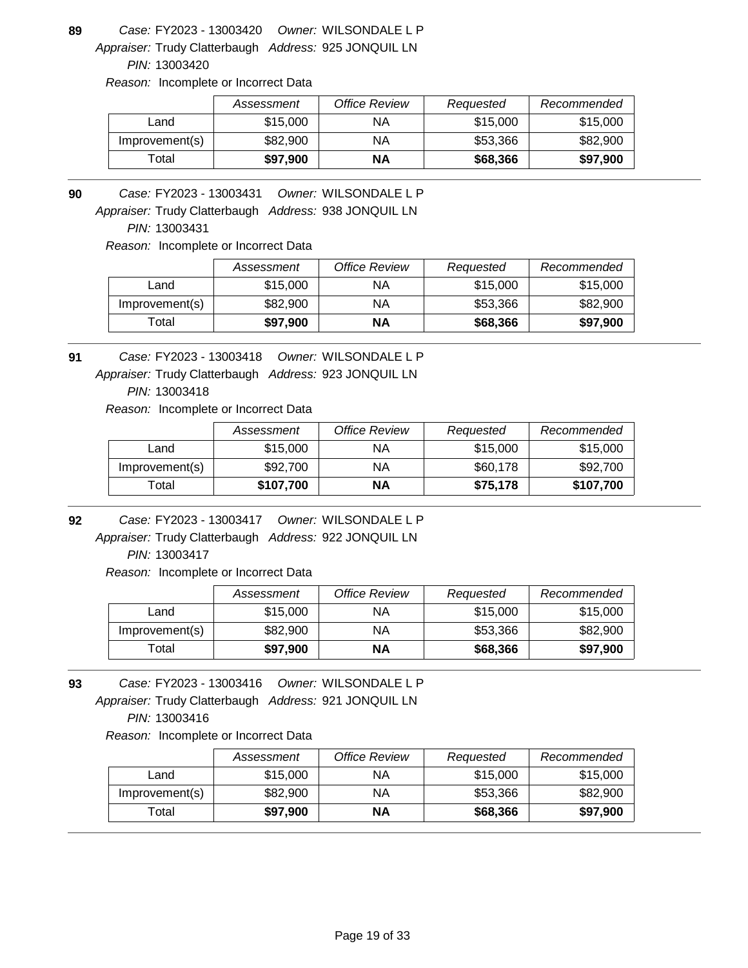Appraiser: Trudy Clatterbaugh Address: 925 JONQUIL LN **89** *Owner:* WILSONDALE L P FY2023 - 13003420 *Case:*

*PIN:* 13003420

*Reason:* Incomplete or Incorrect Data

|                | Assessment | Office Review | Requested | Recommended |
|----------------|------------|---------------|-----------|-------------|
| ∟and           | \$15,000   | ΝA            | \$15,000  | \$15,000    |
| Improvement(s) | \$82,900   | ΝA            | \$53,366  | \$82,900    |
| ⊺otal          | \$97,900   | <b>NA</b>     | \$68,366  | \$97,900    |

**90** *Owner:* WILSONDALE L P FY2023 - 13003431 *Case:*

Appraiser: Trudy Clatterbaugh Address: 938 JONQUIL LN

*PIN:* 13003431

*Reason:* Incomplete or Incorrect Data

|                | Assessment | Office Review | Requested | Recommended |
|----------------|------------|---------------|-----------|-------------|
| Land           | \$15,000   | ΝA            | \$15,000  | \$15,000    |
| Improvement(s) | \$82,900   | ΝA            | \$53.366  | \$82,900    |
| Гоtal          | \$97.900   | ΝA            | \$68,366  | \$97,900    |

Appraiser: Trudy Clatterbaugh Address: 923 JONQUIL LN **91** *Owner:* WILSONDALE L P FY2023 - 13003418 *Case:*

*PIN:* 13003418

*Reason:* Incomplete or Incorrect Data

|                | Assessment | Office Review | Requested | Recommended |
|----------------|------------|---------------|-----------|-------------|
| Land           | \$15,000   | ΝA            | \$15,000  | \$15,000    |
| Improvement(s) | \$92,700   | ΝA            | \$60,178  | \$92,700    |
| Total          | \$107,700  | ΝA            | \$75.178  | \$107,700   |

**92** *Owner:* WILSONDALE L P FY2023 - 13003417 *Case:*

Appraiser: Trudy Clatterbaugh Address: 922 JONQUIL LN *PIN:* 13003417

*Reason:* Incomplete or Incorrect Data

|                | Assessment | Office Review | Requested | Recommended |
|----------------|------------|---------------|-----------|-------------|
| Land           | \$15,000   | ΝA            | \$15,000  | \$15,000    |
| Improvement(s) | \$82,900   | ΝA            | \$53,366  | \$82,900    |
| ™otal          | \$97,900   | NΑ            | \$68,366  | \$97,900    |

Appraiser: Trudy Clatterbaugh Address: 921 JONQUIL LN **93** *Owner:* WILSONDALE L P FY2023 - 13003416 *Case: PIN:* 13003416

|                | Assessment | Office Review | Requested | Recommended |
|----------------|------------|---------------|-----------|-------------|
| Land           | \$15,000   | ΝA            | \$15,000  | \$15,000    |
| Improvement(s) | \$82,900   | ΝA            | \$53,366  | \$82,900    |
| $\tau$ otal    | \$97,900   | NΑ            | \$68,366  | \$97,900    |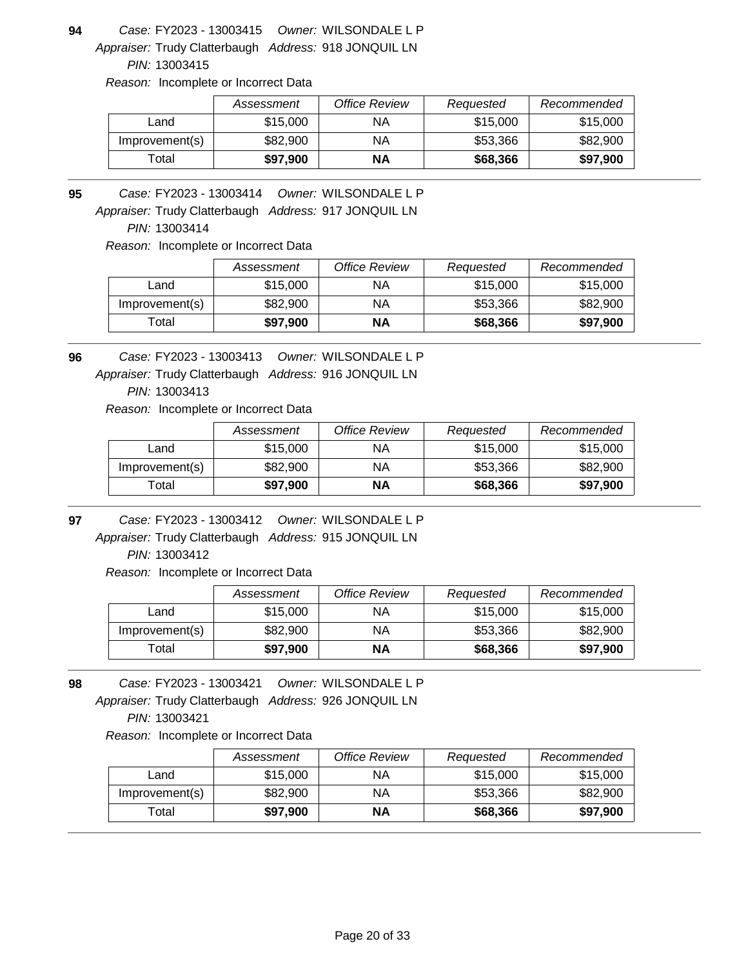Appraiser: Trudy Clatterbaugh Address: 918 JONQUIL LN **94** *Owner:* WILSONDALE L P FY2023 - 13003415 *Case:*

*PIN:* 13003415

*Reason:* Incomplete or Incorrect Data

|                | Assessment | Office Review | Requested | Recommended |
|----------------|------------|---------------|-----------|-------------|
| Land           | \$15,000   | ΝA            | \$15,000  | \$15,000    |
| Improvement(s) | \$82,900   | ΝA            | \$53,366  | \$82,900    |
| Total          | \$97,900   | <b>NA</b>     | \$68,366  | \$97,900    |

**95** *Owner:* WILSONDALE L P FY2023 - 13003414 *Case:*

Appraiser: Trudy Clatterbaugh Address: 917 JONQUIL LN

*PIN:* 13003414

*Reason:* Incomplete or Incorrect Data

|                | Assessment | Office Review | Requested | Recommended |
|----------------|------------|---------------|-----------|-------------|
| Land           | \$15,000   | ΝA            | \$15,000  | \$15,000    |
| Improvement(s) | \$82,900   | ΝA            | \$53.366  | \$82,900    |
| Total          | \$97,900   | ΝA            | \$68,366  | \$97,900    |

**96** *Owner:* WILSONDALE L P FY2023 - 13003413 *Case:*

Appraiser: Trudy Clatterbaugh Address: 916 JONQUIL LN

*PIN:* 13003413

*Reason:* Incomplete or Incorrect Data

|                | Assessment | Office Review | Requested | Recommended |
|----------------|------------|---------------|-----------|-------------|
| Land           | \$15,000   | ΝA            | \$15,000  | \$15,000    |
| Improvement(s) | \$82,900   | ΝA            | \$53,366  | \$82,900    |
| Total          | \$97,900   | ΝA            | \$68,366  | \$97,900    |

**97** *Owner:* WILSONDALE L P FY2023 - 13003412 *Case:*

Appraiser: Trudy Clatterbaugh Address: 915 JONQUIL LN *PIN:* 13003412

*Reason:* Incomplete or Incorrect Data

|                | Assessment | Office Review | Requested | Recommended |
|----------------|------------|---------------|-----------|-------------|
| Land           | \$15,000   | ΝA            | \$15,000  | \$15,000    |
| Improvement(s) | \$82,900   | ΝA            | \$53,366  | \$82,900    |
| Гоtal          | \$97,900   | NΑ            | \$68,366  | \$97,900    |

Appraiser: Trudy Clatterbaugh Address: 926 JONQUIL LN **98** *Owner:* WILSONDALE L P FY2023 - 13003421 *Case: PIN:* 13003421

|                | Assessment | Office Review | Requested | Recommended |
|----------------|------------|---------------|-----------|-------------|
| Land           | \$15,000   | ΝA            | \$15,000  | \$15,000    |
| Improvement(s) | \$82,900   | ΝA            | \$53.366  | \$82,900    |
| Total          | \$97,900   | ΝA            | \$68,366  | \$97,900    |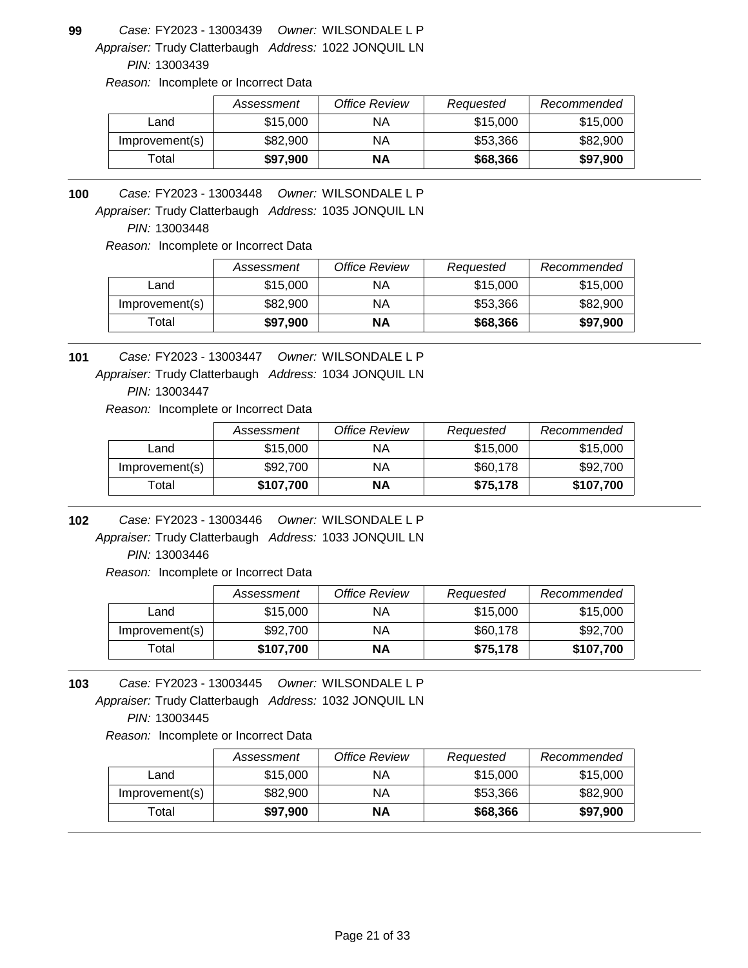Appraiser: Trudy Clatterbaugh Address: 1022 JONQUIL LN **99** *Owner:* WILSONDALE L P FY2023 - 13003439 *Case:*

*PIN:* 13003439

*Reason:* Incomplete or Incorrect Data

|                | Assessment | Office Review | Requested | Recommended |
|----------------|------------|---------------|-----------|-------------|
| Land           | \$15,000   | ΝA            | \$15,000  | \$15,000    |
| Improvement(s) | \$82,900   | ΝA            | \$53,366  | \$82,900    |
| Total          | \$97,900   | <b>NA</b>     | \$68,366  | \$97,900    |

**100** *Owner:* WILSONDALE L P FY2023 - 13003448 *Case:*

Appraiser: Trudy Clatterbaugh Address: 1035 JONQUIL LN

*PIN:* 13003448

*Reason:* Incomplete or Incorrect Data

|                | Assessment | <b>Office Review</b> | Requested | Recommended |
|----------------|------------|----------------------|-----------|-------------|
| Land           | \$15,000   | ΝA                   | \$15,000  | \$15,000    |
| Improvement(s) | \$82,900   | ΝA                   | \$53.366  | \$82,900    |
| Гоtal          | \$97.900   | ΝA                   | \$68,366  | \$97,900    |

**101** *Owner:* WILSONDALE L P FY2023 - 13003447 *Case:*

Appraiser: Trudy Clatterbaugh Address: 1034 JONQUIL LN

*PIN:* 13003447

*Reason:* Incomplete or Incorrect Data

|                | Assessment | Office Review | Requested | Recommended |
|----------------|------------|---------------|-----------|-------------|
| Land           | \$15,000   | ΝA            | \$15,000  | \$15,000    |
| Improvement(s) | \$92,700   | ΝA            | \$60,178  | \$92,700    |
| Total          | \$107,700  | ΝA            | \$75,178  | \$107,700   |

**102** *Owner:* WILSONDALE L P FY2023 - 13003446 *Case:*

Appraiser: Trudy Clatterbaugh Address: 1033 JONQUIL LN *PIN:* 13003446

*Reason:* Incomplete or Incorrect Data

|                | Assessment | Office Review | Requested | Recommended |
|----------------|------------|---------------|-----------|-------------|
| Land           | \$15,000   | ΝA            | \$15,000  | \$15,000    |
| Improvement(s) | \$92,700   | ΝA            | \$60,178  | \$92,700    |
| ™otal          | \$107,700  | ΝA            | \$75,178  | \$107,700   |

Appraiser: Trudy Clatterbaugh Address: 1032 JONQUIL LN **103** *Owner:* WILSONDALE L P FY2023 - 13003445 *Case: PIN:* 13003445

|                | Assessment | Office Review | Requested | Recommended |
|----------------|------------|---------------|-----------|-------------|
| Land           | \$15,000   | ΝA            | \$15,000  | \$15,000    |
| Improvement(s) | \$82,900   | ΝA            | \$53.366  | \$82,900    |
| Total          | \$97,900   | ΝA            | \$68,366  | \$97,900    |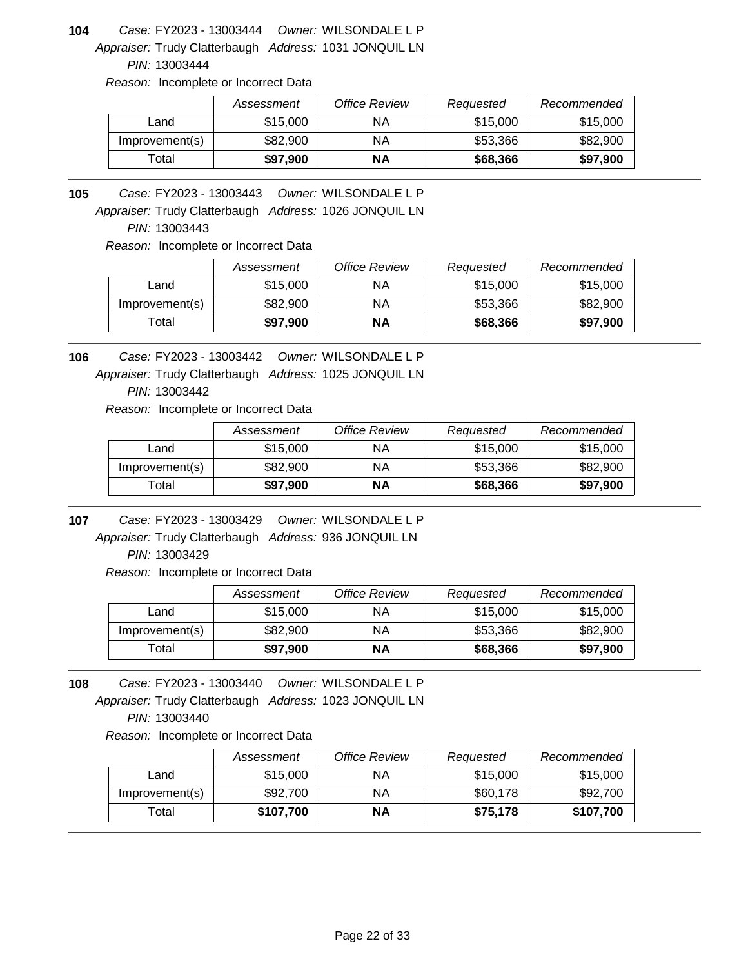Appraiser: Trudy Clatterbaugh Address: 1031 JONQUIL LN **104** *Owner:* WILSONDALE L P FY2023 - 13003444 *Case:*

*PIN:* 13003444

*Reason:* Incomplete or Incorrect Data

|                | Assessment | Office Review | Requested | Recommended |
|----------------|------------|---------------|-----------|-------------|
| Land           | \$15,000   | ΝA            | \$15,000  | \$15,000    |
| Improvement(s) | \$82,900   | ΝA            | \$53,366  | \$82,900    |
| ™otal          | \$97,900   | <b>NA</b>     | \$68,366  | \$97,900    |

**105** *Owner:* WILSONDALE L P FY2023 - 13003443 *Case:*

Appraiser: Trudy Clatterbaugh Address: 1026 JONQUIL LN

*PIN:* 13003443

*Reason:* Incomplete or Incorrect Data

|                   | Assessment | <b>Office Review</b> | Requested | Recommended |
|-------------------|------------|----------------------|-----------|-------------|
| Land              | \$15,000   | ΝA                   | \$15,000  | \$15,000    |
| Improvement(s)    | \$82,900   | ΝA                   | \$53.366  | \$82,900    |
| <sup>-</sup> otal | \$97,900   | ΝA                   | \$68,366  | \$97,900    |

**106** *Owner:* WILSONDALE L P FY2023 - 13003442 *Case:*

Appraiser: Trudy Clatterbaugh Address: 1025 JONQUIL LN

*PIN:* 13003442

*Reason:* Incomplete or Incorrect Data

|                | Assessment | Office Review | Requested | Recommended |
|----------------|------------|---------------|-----------|-------------|
| Land           | \$15,000   | ΝA            | \$15,000  | \$15,000    |
| Improvement(s) | \$82,900   | ΝA            | \$53,366  | \$82,900    |
| Total          | \$97,900   | ΝA            | \$68,366  | \$97,900    |

**107** *Owner:* WILSONDALE L P FY2023 - 13003429 *Case:*

Appraiser: Trudy Clatterbaugh Address: 936 JONQUIL LN *PIN:* 13003429

*Reason:* Incomplete or Incorrect Data

|                | Assessment | Office Review | Requested | Recommended |
|----------------|------------|---------------|-----------|-------------|
| Land           | \$15,000   | ΝA            | \$15,000  | \$15,000    |
| Improvement(s) | \$82,900   | ΝA            | \$53,366  | \$82,900    |
| ™otal          | \$97,900   | NΑ            | \$68,366  | \$97,900    |

Appraiser: Trudy Clatterbaugh Address: 1023 JONQUIL LN **108** *Owner:* WILSONDALE L P FY2023 - 13003440 *Case: PIN:* 13003440

|                | Assessment | Office Review | Requested | Recommended |
|----------------|------------|---------------|-----------|-------------|
| Land           | \$15,000   | ΝA            | \$15,000  | \$15,000    |
| Improvement(s) | \$92,700   | ΝA            | \$60,178  | \$92,700    |
| $\tau$ otal    | \$107,700  | ΝA            | \$75,178  | \$107,700   |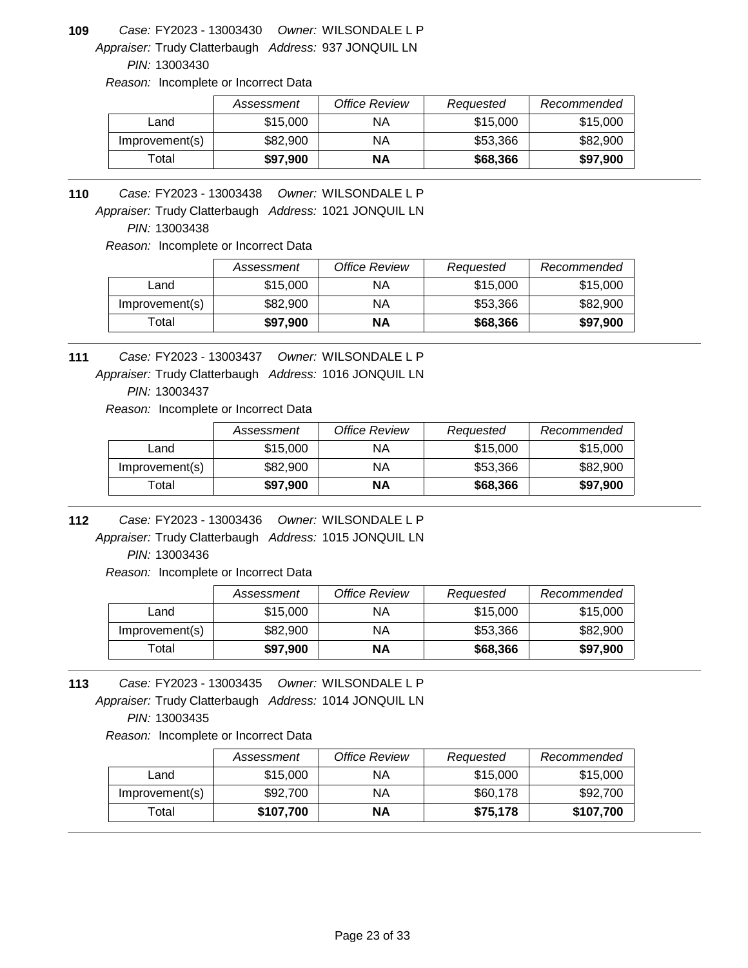Appraiser: Trudy Clatterbaugh Address: 937 JONQUIL LN **109** *Owner:* WILSONDALE L P FY2023 - 13003430 *Case:*

*PIN:* 13003430

*Reason:* Incomplete or Incorrect Data

|                | Assessment | Office Review | Requested | Recommended |
|----------------|------------|---------------|-----------|-------------|
| ∟and           | \$15,000   | ΝA            | \$15,000  | \$15,000    |
| Improvement(s) | \$82,900   | ΝA            | \$53,366  | \$82,900    |
| ⊺otal          | \$97,900   | <b>NA</b>     | \$68,366  | \$97,900    |

**110** *Owner:* WILSONDALE L P FY2023 - 13003438 *Case:*

Appraiser: Trudy Clatterbaugh Address: 1021 JONQUIL LN

*PIN:* 13003438

*Reason:* Incomplete or Incorrect Data

|                   | Assessment | <b>Office Review</b> | Requested | Recommended |
|-------------------|------------|----------------------|-----------|-------------|
| Land              | \$15,000   | ΝA                   | \$15,000  | \$15,000    |
| Improvement(s)    | \$82,900   | ΝA                   | \$53.366  | \$82,900    |
| <sup>-</sup> otal | \$97,900   | ΝA                   | \$68,366  | \$97,900    |

Appraiser: Trudy Clatterbaugh Address: 1016 JONQUIL LN **111** *Owner:* WILSONDALE L P FY2023 - 13003437 *Case:*

*PIN:* 13003437

*Reason:* Incomplete or Incorrect Data

|                | Assessment | Office Review | Requested | Recommended |
|----------------|------------|---------------|-----------|-------------|
| Land           | \$15,000   | ΝA            | \$15,000  | \$15,000    |
| Improvement(s) | \$82,900   | ΝA            | \$53,366  | \$82,900    |
| Total          | \$97.900   | NΑ            | \$68,366  | \$97,900    |

**112** *Owner:* WILSONDALE L P FY2023 - 13003436 *Case:*

Appraiser: Trudy Clatterbaugh Address: 1015 JONQUIL LN *PIN:* 13003436

*Reason:* Incomplete or Incorrect Data

|                | Assessment | Office Review | Requested | Recommended |
|----------------|------------|---------------|-----------|-------------|
| Land           | \$15,000   | ΝA            | \$15,000  | \$15,000    |
| Improvement(s) | \$82,900   | ΝA            | \$53,366  | \$82,900    |
| ™otal          | \$97,900   | ΝA            | \$68,366  | \$97,900    |

Appraiser: Trudy Clatterbaugh Address: 1014 JONQUIL LN **113** *Owner:* WILSONDALE L P FY2023 - 13003435 *Case: PIN:* 13003435

|                | Assessment | Office Review | Requested | Recommended |
|----------------|------------|---------------|-----------|-------------|
| Land           | \$15,000   | ΝA            | \$15,000  | \$15,000    |
| Improvement(s) | \$92,700   | ΝA            | \$60,178  | \$92,700    |
| $\tau$ otal    | \$107,700  | ΝA            | \$75,178  | \$107,700   |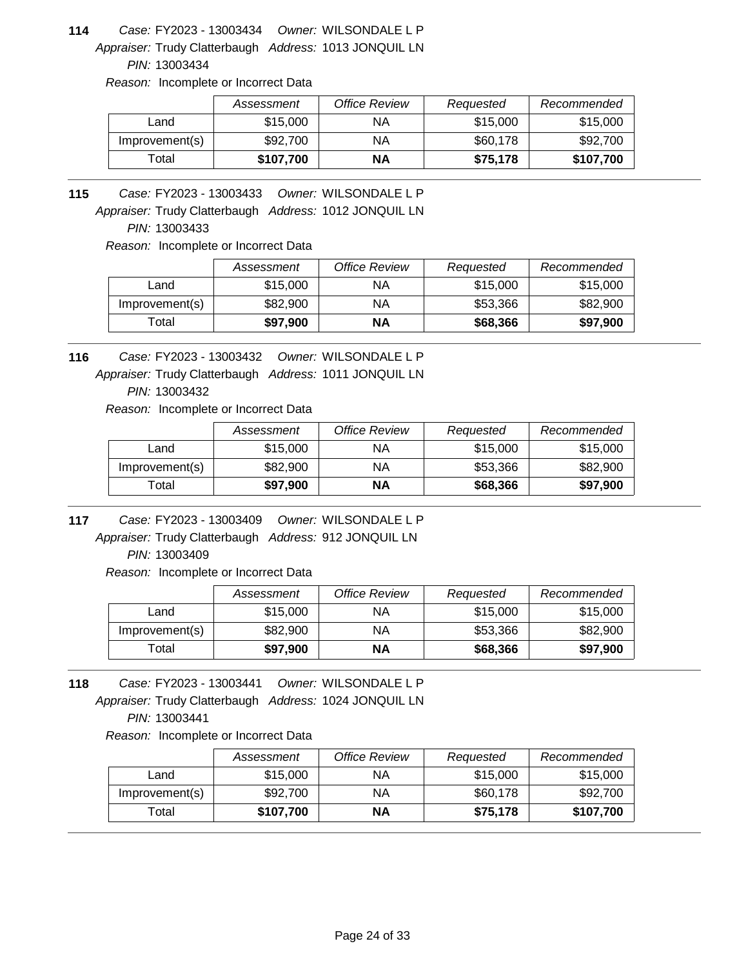Appraiser: Trudy Clatterbaugh Address: 1013 JONQUIL LN **114** *Owner:* WILSONDALE L P FY2023 - 13003434 *Case:*

*PIN:* 13003434

*Reason:* Incomplete or Incorrect Data

|                | Assessment | Office Review | Requested | Recommended |
|----------------|------------|---------------|-----------|-------------|
| Land           | \$15,000   | ΝA            | \$15,000  | \$15,000    |
| Improvement(s) | \$92,700   | ΝA            | \$60,178  | \$92,700    |
| Total          | \$107.700  | ΝA            | \$75,178  | \$107,700   |

**115** *Owner:* WILSONDALE L P FY2023 - 13003433 *Case:*

Appraiser: Trudy Clatterbaugh Address: 1012 JONQUIL LN

*PIN:* 13003433

*Reason:* Incomplete or Incorrect Data

|                   | Assessment | <b>Office Review</b> | Requested | Recommended |
|-------------------|------------|----------------------|-----------|-------------|
| Land              | \$15,000   | ΝA                   | \$15,000  | \$15,000    |
| Improvement(s)    | \$82,900   | ΝA                   | \$53.366  | \$82,900    |
| <sup>-</sup> otal | \$97,900   | ΝA                   | \$68,366  | \$97,900    |

Appraiser: Trudy Clatterbaugh Address: 1011 JONQUIL LN **116** *Owner:* WILSONDALE L P FY2023 - 13003432 *Case:*

*PIN:* 13003432

*Reason:* Incomplete or Incorrect Data

|                | Assessment | Office Review | Requested | Recommended |
|----------------|------------|---------------|-----------|-------------|
| Land           | \$15,000   | ΝA            | \$15,000  | \$15,000    |
| Improvement(s) | \$82,900   | ΝA            | \$53,366  | \$82,900    |
| Total          | \$97,900   | ΝA            | \$68,366  | \$97,900    |

**117** *Owner:* WILSONDALE L P FY2023 - 13003409 *Case:*

Appraiser: Trudy Clatterbaugh Address: 912 JONQUIL LN *PIN:* 13003409

*Reason:* Incomplete or Incorrect Data

|                | Assessment | Office Review | Requested | Recommended |
|----------------|------------|---------------|-----------|-------------|
| Land           | \$15,000   | ΝA            | \$15,000  | \$15,000    |
| Improvement(s) | \$82,900   | ΝA            | \$53,366  | \$82,900    |
| Total          | \$97,900   | NΑ            | \$68,366  | \$97,900    |

Appraiser: Trudy Clatterbaugh Address: 1024 JONQUIL LN **118** *Owner:* WILSONDALE L P FY2023 - 13003441 *Case: PIN:* 13003441

|                | Assessment | Office Review | Requested | Recommended |
|----------------|------------|---------------|-----------|-------------|
| Land           | \$15,000   | ΝA            | \$15,000  | \$15,000    |
| Improvement(s) | \$92,700   | ΝA            | \$60,178  | \$92,700    |
| $\tau$ otal    | \$107,700  | ΝA            | \$75,178  | \$107,700   |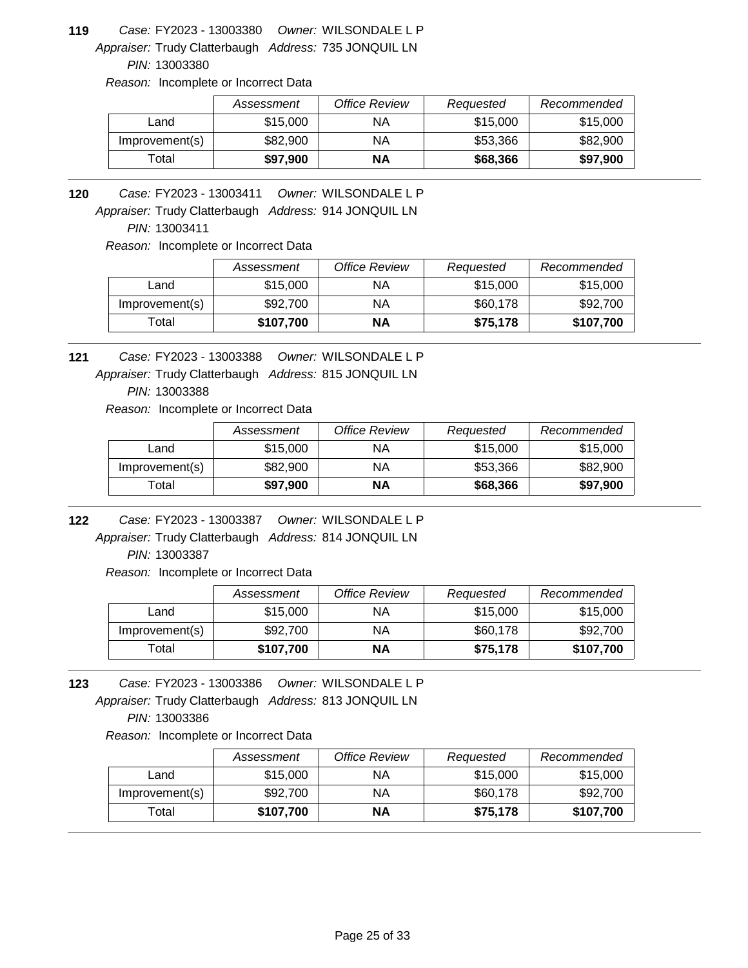Appraiser: Trudy Clatterbaugh Address: 735 JONQUIL LN **119** *Owner:* WILSONDALE L P FY2023 - 13003380 *Case:*

*PIN:* 13003380

*Reason:* Incomplete or Incorrect Data

|                | Assessment | Office Review | Requested | Recommended |
|----------------|------------|---------------|-----------|-------------|
| Land           | \$15,000   | ΝA            | \$15,000  | \$15,000    |
| Improvement(s) | \$82,900   | ΝA            | \$53,366  | \$82,900    |
| Total          | \$97,900   | NΑ            | \$68,366  | \$97,900    |

**120** *Owner:* WILSONDALE L P FY2023 - 13003411 *Case:*

Appraiser: Trudy Clatterbaugh Address: 914 JONQUIL LN

*PIN:* 13003411

*Reason:* Incomplete or Incorrect Data

|                | Assessment | <b>Office Review</b> | Requested | Recommended |
|----------------|------------|----------------------|-----------|-------------|
| Land           | \$15,000   | ΝA                   | \$15,000  | \$15,000    |
| Improvement(s) | \$92,700   | ΝA                   | \$60,178  | \$92,700    |
| Total          | \$107,700  | ΝA                   | \$75,178  | \$107,700   |

**121** *Owner:* WILSONDALE L P FY2023 - 13003388 *Case:*

Appraiser: Trudy Clatterbaugh Address: 815 JONQUIL LN

*PIN:* 13003388

*Reason:* Incomplete or Incorrect Data

|                | Assessment | Office Review | Requested | Recommended |
|----------------|------------|---------------|-----------|-------------|
| Land           | \$15,000   | ΝA            | \$15,000  | \$15,000    |
| Improvement(s) | \$82,900   | ΝA            | \$53,366  | \$82,900    |
| Total          | \$97,900   | ΝA            | \$68,366  | \$97,900    |

**122** *Owner:* WILSONDALE L P FY2023 - 13003387 *Case:*

Appraiser: Trudy Clatterbaugh Address: 814 JONQUIL LN *PIN:* 13003387

*Reason:* Incomplete or Incorrect Data

|                | Assessment | Office Review | Requested | Recommended |
|----------------|------------|---------------|-----------|-------------|
| Land           | \$15,000   | ΝA            | \$15,000  | \$15,000    |
| Improvement(s) | \$92,700   | ΝA            | \$60,178  | \$92,700    |
| Гоtal          | \$107,700  | ΝA            | \$75,178  | \$107,700   |

Appraiser: Trudy Clatterbaugh Address: 813 JONQUIL LN **123** *Owner:* WILSONDALE L P FY2023 - 13003386 *Case: PIN:* 13003386

|                | Assessment | Office Review | Requested | Recommended |
|----------------|------------|---------------|-----------|-------------|
| Land           | \$15,000   | ΝA            | \$15,000  | \$15,000    |
| Improvement(s) | \$92,700   | ΝA            | \$60,178  | \$92,700    |
| $\tau$ otal    | \$107,700  | ΝA            | \$75,178  | \$107,700   |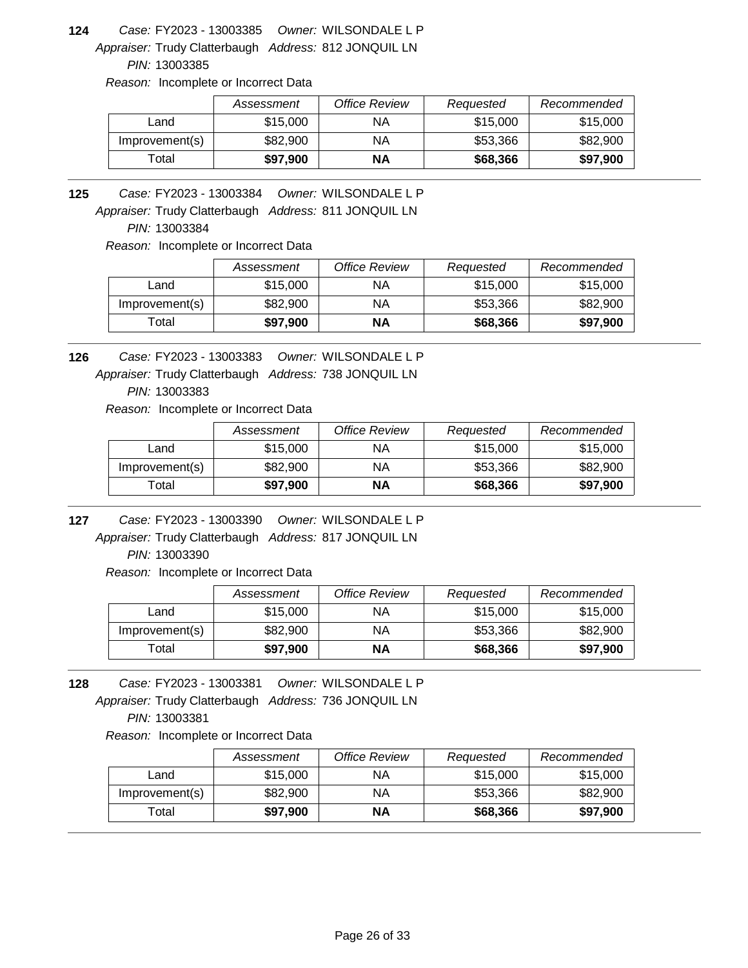Appraiser: Trudy Clatterbaugh Address: 812 JONQUIL LN **124** *Owner:* WILSONDALE L P FY2023 - 13003385 *Case:*

*PIN:* 13003385

*Reason:* Incomplete or Incorrect Data

|                | Assessment | Office Review | Requested | Recommended |
|----------------|------------|---------------|-----------|-------------|
| Land           | \$15,000   | ΝA            | \$15,000  | \$15,000    |
| Improvement(s) | \$82,900   | NA            | \$53,366  | \$82,900    |
| Total          | \$97,900   | ΝA            | \$68,366  | \$97,900    |

**125** *Owner:* WILSONDALE L P FY2023 - 13003384 *Case:*

Appraiser: Trudy Clatterbaugh Address: 811 JONQUIL LN

*PIN:* 13003384

*Reason:* Incomplete or Incorrect Data

|                | Assessment | <b>Office Review</b> | Requested | Recommended |
|----------------|------------|----------------------|-----------|-------------|
| Land           | \$15,000   | ΝA                   | \$15,000  | \$15,000    |
| Improvement(s) | \$82,900   | ΝA                   | \$53.366  | \$82,900    |
| Гоtal          | \$97.900   | ΝA                   | \$68,366  | \$97,900    |

**126** *Owner:* WILSONDALE L P FY2023 - 13003383 *Case:*

Appraiser: Trudy Clatterbaugh Address: 738 JONQUIL LN

*PIN:* 13003383

*Reason:* Incomplete or Incorrect Data

|                | Assessment | Office Review | Requested | Recommended |
|----------------|------------|---------------|-----------|-------------|
| Land           | \$15,000   | ΝA            | \$15,000  | \$15,000    |
| Improvement(s) | \$82,900   | ΝA            | \$53,366  | \$82,900    |
| Total          | \$97,900   | NΑ            | \$68,366  | \$97,900    |

**127** *Owner:* WILSONDALE L P FY2023 - 13003390 *Case:*

Appraiser: Trudy Clatterbaugh Address: 817 JONQUIL LN *PIN:* 13003390

*Reason:* Incomplete or Incorrect Data

|                | Assessment | Office Review | Requested | Recommended |
|----------------|------------|---------------|-----------|-------------|
| Land           | \$15,000   | ΝA            | \$15,000  | \$15,000    |
| Improvement(s) | \$82,900   | ΝA            | \$53,366  | \$82,900    |
| Total          | \$97,900   | NΑ            | \$68,366  | \$97,900    |

Appraiser: Trudy Clatterbaugh Address: 736 JONQUIL LN **128** *Owner:* WILSONDALE L P FY2023 - 13003381 *Case: PIN:* 13003381

|                | Assessment | Office Review | Requested | Recommended |
|----------------|------------|---------------|-----------|-------------|
| Land           | \$15,000   | ΝA            | \$15,000  | \$15,000    |
| Improvement(s) | \$82,900   | ΝA            | \$53.366  | \$82,900    |
| Total          | \$97,900   | ΝA            | \$68,366  | \$97,900    |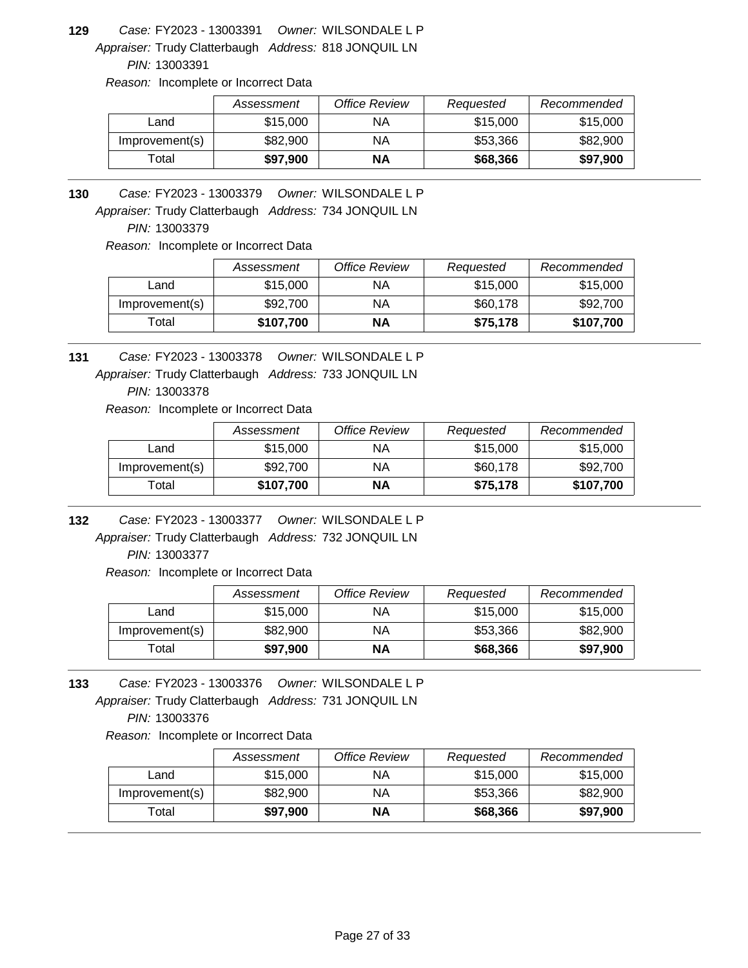Appraiser: Trudy Clatterbaugh Address: 818 JONQUIL LN **129** *Owner:* WILSONDALE L P FY2023 - 13003391 *Case:*

*PIN:* 13003391

*Reason:* Incomplete or Incorrect Data

|                | Assessment | Office Review | Requested | Recommended |
|----------------|------------|---------------|-----------|-------------|
| Land           | \$15,000   | ΝA            | \$15,000  | \$15,000    |
| Improvement(s) | \$82,900   | ΝA            | \$53,366  | \$82,900    |
| ™otal          | \$97,900   | <b>NA</b>     | \$68,366  | \$97,900    |

**130** *Owner:* WILSONDALE L P FY2023 - 13003379 *Case:*

Appraiser: Trudy Clatterbaugh Address: 734 JONQUIL LN

*PIN:* 13003379

*Reason:* Incomplete or Incorrect Data

|                | Assessment | Office Review | Requested | Recommended |
|----------------|------------|---------------|-----------|-------------|
| Land           | \$15,000   | ΝA            | \$15,000  | \$15,000    |
| Improvement(s) | \$92,700   | ΝA            | \$60,178  | \$92,700    |
| Total          | \$107,700  | ΝA            | \$75,178  | \$107,700   |

**131** *Owner:* WILSONDALE L P FY2023 - 13003378 *Case:*

Appraiser: Trudy Clatterbaugh Address: 733 JONQUIL LN

*PIN:* 13003378

*Reason:* Incomplete or Incorrect Data

|                | Assessment | Office Review | Requested | Recommended |
|----------------|------------|---------------|-----------|-------------|
| Land           | \$15,000   | ΝA            | \$15,000  | \$15,000    |
| Improvement(s) | \$92,700   | ΝA            | \$60,178  | \$92,700    |
| Total          | \$107,700  | ΝA            | \$75,178  | \$107,700   |

**132** *Owner:* WILSONDALE L P FY2023 - 13003377 *Case:*

Appraiser: Trudy Clatterbaugh Address: 732 JONQUIL LN *PIN:* 13003377

*Reason:* Incomplete or Incorrect Data

|                | Assessment | Office Review | Requested | Recommended |
|----------------|------------|---------------|-----------|-------------|
| Land           | \$15,000   | ΝA            | \$15,000  | \$15,000    |
| Improvement(s) | \$82,900   | ΝA            | \$53,366  | \$82,900    |
| Total          | \$97,900   | NΑ            | \$68,366  | \$97,900    |

Appraiser: Trudy Clatterbaugh Address: 731 JONQUIL LN **133** *Owner:* WILSONDALE L P FY2023 - 13003376 *Case: PIN:* 13003376

|                | Assessment | Office Review | Requested | Recommended |
|----------------|------------|---------------|-----------|-------------|
| Land           | \$15,000   | ΝA            | \$15,000  | \$15,000    |
| Improvement(s) | \$82,900   | ΝA            | \$53,366  | \$82,900    |
| $\tau$ otal    | \$97,900   | NΑ            | \$68,366  | \$97,900    |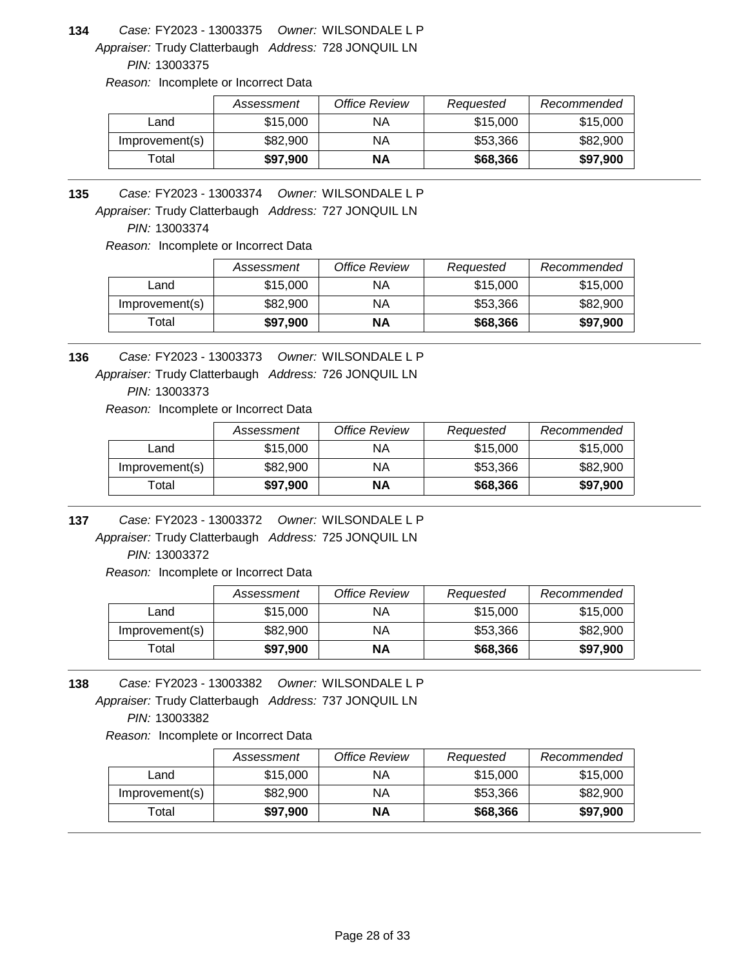Appraiser: Trudy Clatterbaugh Address: 728 JONQUIL LN **134** *Owner:* WILSONDALE L P FY2023 - 13003375 *Case:*

*PIN:* 13003375

*Reason:* Incomplete or Incorrect Data

|                | Assessment | Office Review | Requested | Recommended |
|----------------|------------|---------------|-----------|-------------|
| Land           | \$15,000   | ΝA            | \$15,000  | \$15,000    |
| Improvement(s) | \$82,900   | ΝA            | \$53,366  | \$82,900    |
| Total          | \$97,900   | <b>NA</b>     | \$68,366  | \$97,900    |

**135** *Owner:* WILSONDALE L P FY2023 - 13003374 *Case:*

Appraiser: Trudy Clatterbaugh Address: 727 JONQUIL LN

*PIN:* 13003374

*Reason:* Incomplete or Incorrect Data

|                   | Assessment | <b>Office Review</b> | Requested | Recommended |
|-------------------|------------|----------------------|-----------|-------------|
| Land              | \$15,000   | ΝA                   | \$15,000  | \$15,000    |
| Improvement(s)    | \$82,900   | ΝA                   | \$53.366  | \$82,900    |
| <sup>-</sup> otal | \$97,900   | ΝA                   | \$68,366  | \$97,900    |

**136** *Owner:* WILSONDALE L P FY2023 - 13003373 *Case:*

Appraiser: Trudy Clatterbaugh Address: 726 JONQUIL LN

*PIN:* 13003373

*Reason:* Incomplete or Incorrect Data

|                | Assessment | Office Review | Requested | Recommended |
|----------------|------------|---------------|-----------|-------------|
| Land           | \$15,000   | ΝA            | \$15,000  | \$15,000    |
| Improvement(s) | \$82,900   | ΝA            | \$53,366  | \$82,900    |
| Total          | \$97,900   | ΝA            | \$68,366  | \$97,900    |

**137** *Owner:* WILSONDALE L P FY2023 - 13003372 *Case:*

Appraiser: Trudy Clatterbaugh Address: 725 JONQUIL LN *PIN:* 13003372

*Reason:* Incomplete or Incorrect Data

|                | Assessment | Office Review | Requested | Recommended |
|----------------|------------|---------------|-----------|-------------|
| Land           | \$15,000   | ΝA            | \$15,000  | \$15,000    |
| Improvement(s) | \$82,900   | ΝA            | \$53,366  | \$82,900    |
| Total          | \$97,900   | NΑ            | \$68,366  | \$97,900    |

Appraiser: Trudy Clatterbaugh Address: 737 JONQUIL LN **138** *Owner:* WILSONDALE L P FY2023 - 13003382 *Case: PIN:* 13003382

|                | Assessment | Office Review | Requested | Recommended |
|----------------|------------|---------------|-----------|-------------|
| Land           | \$15,000   | ΝA            | \$15,000  | \$15,000    |
| Improvement(s) | \$82,900   | ΝA            | \$53,366  | \$82,900    |
| $\tau$ otal    | \$97,900   | NΑ            | \$68,366  | \$97,900    |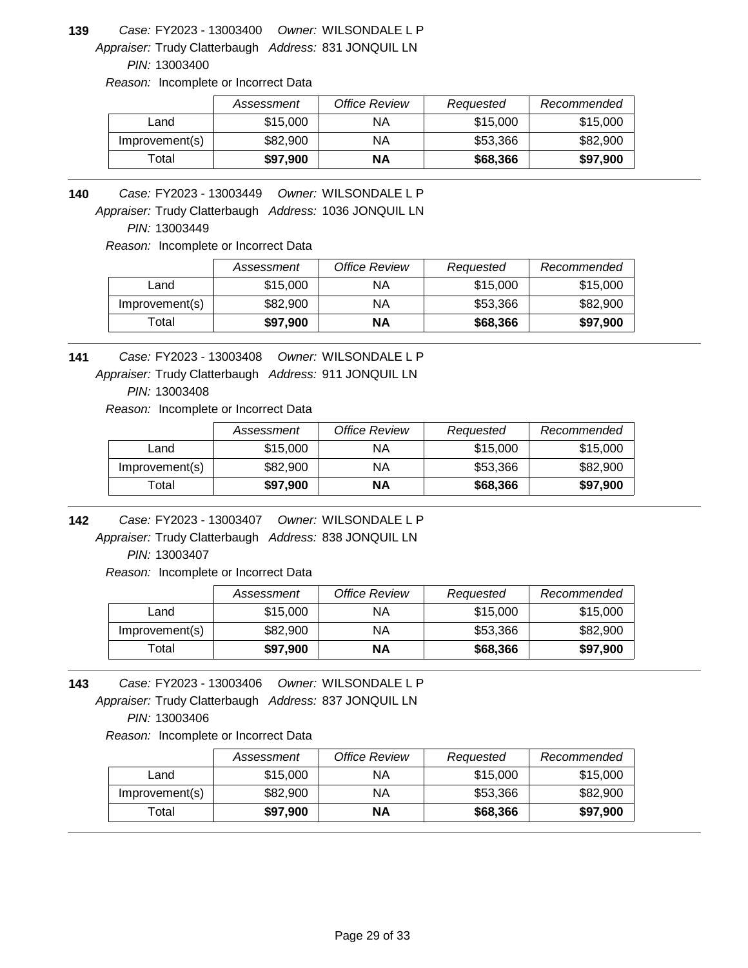Appraiser: Trudy Clatterbaugh Address: 831 JONQUIL LN **139** *Owner:* WILSONDALE L P FY2023 - 13003400 *Case:*

*PIN:* 13003400

*Reason:* Incomplete or Incorrect Data

|                | Assessment | Office Review | Requested | Recommended |
|----------------|------------|---------------|-----------|-------------|
| Land           | \$15,000   | ΝA            | \$15,000  | \$15,000    |
| Improvement(s) | \$82,900   | ΝA            | \$53,366  | \$82,900    |
| ⊺otal          | \$97.900   | NΑ            | \$68,366  | \$97,900    |

**140** *Owner:* WILSONDALE L P FY2023 - 13003449 *Case:*

Appraiser: Trudy Clatterbaugh Address: 1036 JONQUIL LN

*PIN:* 13003449

*Reason:* Incomplete or Incorrect Data

|                | Assessment | Office Review | Requested | Recommended |
|----------------|------------|---------------|-----------|-------------|
| Land           | \$15,000   | ΝA            | \$15,000  | \$15,000    |
| Improvement(s) | \$82,900   | ΝA            | \$53.366  | \$82,900    |
| Total          | \$97,900   | ΝA            | \$68,366  | \$97,900    |

**141** *Owner:* WILSONDALE L P FY2023 - 13003408 *Case:*

Appraiser: Trudy Clatterbaugh Address: 911 JONQUIL LN

*PIN:* 13003408

*Reason:* Incomplete or Incorrect Data

|                | Assessment | Office Review | Requested | Recommended |
|----------------|------------|---------------|-----------|-------------|
| Land           | \$15,000   | ΝA            | \$15,000  | \$15,000    |
| Improvement(s) | \$82,900   | ΝA            | \$53,366  | \$82,900    |
| Total          | \$97,900   | NΑ            | \$68,366  | \$97,900    |

**142** *Owner:* WILSONDALE L P FY2023 - 13003407 *Case:*

Appraiser: Trudy Clatterbaugh Address: 838 JONQUIL LN *PIN:* 13003407

*Reason:* Incomplete or Incorrect Data

|                | Assessment | Office Review | Requested | Recommended |
|----------------|------------|---------------|-----------|-------------|
| Land           | \$15,000   | ΝA            | \$15,000  | \$15,000    |
| Improvement(s) | \$82,900   | ΝA            | \$53,366  | \$82,900    |
| ™otal          | \$97,900   | ΝA            | \$68,366  | \$97,900    |

Appraiser: Trudy Clatterbaugh Address: 837 JONQUIL LN **143** *Owner:* WILSONDALE L P FY2023 - 13003406 *Case: PIN:* 13003406

|                | Assessment | Office Review | Requested | Recommended |
|----------------|------------|---------------|-----------|-------------|
| Land           | \$15,000   | ΝA            | \$15,000  | \$15,000    |
| Improvement(s) | \$82,900   | ΝA            | \$53,366  | \$82,900    |
| Total          | \$97,900   | NΑ            | \$68,366  | \$97,900    |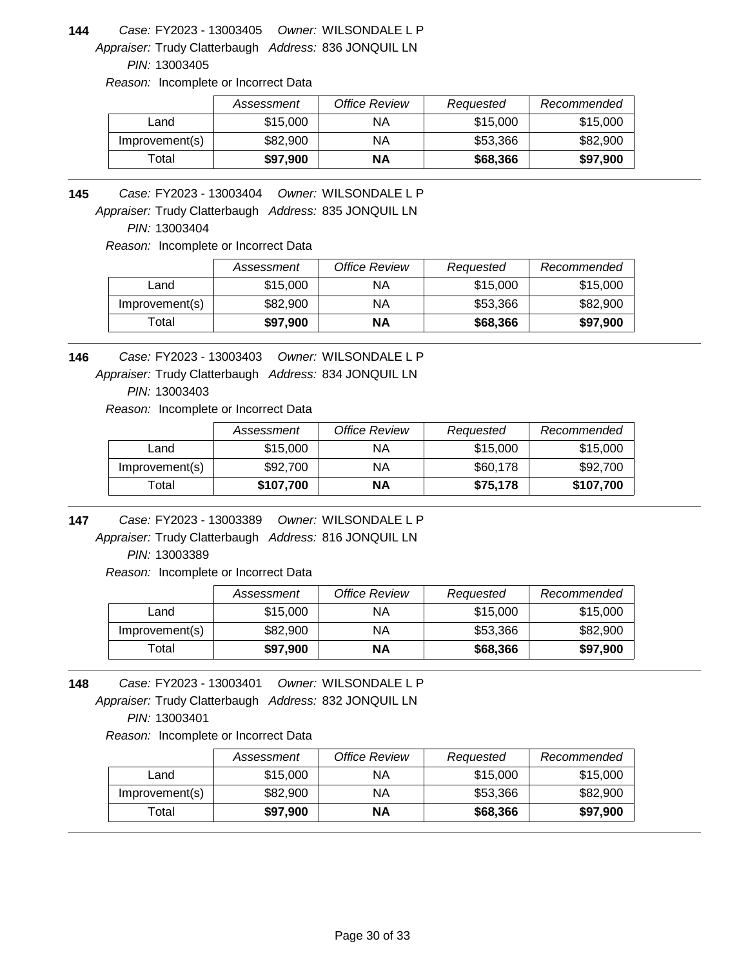Appraiser: Trudy Clatterbaugh Address: 836 JONQUIL LN **144** *Owner:* WILSONDALE L P FY2023 - 13003405 *Case:*

*PIN:* 13003405

*Reason:* Incomplete or Incorrect Data

|                | Assessment | Office Review | Requested | Recommended |
|----------------|------------|---------------|-----------|-------------|
| Land           | \$15,000   | ΝA            | \$15,000  | \$15,000    |
| Improvement(s) | \$82,900   | ΝA            | \$53,366  | \$82,900    |
| Total          | \$97,900   | <b>NA</b>     | \$68,366  | \$97,900    |

**145** *Owner:* WILSONDALE L P FY2023 - 13003404 *Case:*

Appraiser: Trudy Clatterbaugh Address: 835 JONQUIL LN

*PIN:* 13003404

*Reason:* Incomplete or Incorrect Data

|                   | Assessment | <b>Office Review</b> | Requested | Recommended |
|-------------------|------------|----------------------|-----------|-------------|
| Land              | \$15,000   | ΝA                   | \$15,000  | \$15,000    |
| Improvement(s)    | \$82,900   | ΝA                   | \$53.366  | \$82,900    |
| <sup>-</sup> otal | \$97,900   | ΝA                   | \$68,366  | \$97,900    |

**146** *Owner:* WILSONDALE L P FY2023 - 13003403 *Case:*

Appraiser: Trudy Clatterbaugh Address: 834 JONQUIL LN

*PIN:* 13003403

*Reason:* Incomplete or Incorrect Data

|                | Assessment | Office Review | Requested | Recommended |
|----------------|------------|---------------|-----------|-------------|
| Land           | \$15,000   | ΝA            | \$15,000  | \$15,000    |
| Improvement(s) | \$92,700   | ΝA            | \$60,178  | \$92,700    |
| Total          | \$107,700  | ΝA            | \$75,178  | \$107,700   |

**147** *Owner:* WILSONDALE L P FY2023 - 13003389 *Case:*

Appraiser: Trudy Clatterbaugh Address: 816 JONQUIL LN *PIN:* 13003389

*Reason:* Incomplete or Incorrect Data

|                | Assessment | <b>Office Review</b> | Requested | Recommended |
|----------------|------------|----------------------|-----------|-------------|
| Land           | \$15,000   | ΝA                   | \$15,000  | \$15,000    |
| Improvement(s) | \$82,900   | ΝA                   | \$53.366  | \$82,900    |
| Total          | \$97,900   | ΝA                   | \$68,366  | \$97,900    |

Appraiser: Trudy Clatterbaugh Address: 832 JONQUIL LN **148** *Owner:* WILSONDALE L P FY2023 - 13003401 *Case: PIN:* 13003401

|                | Assessment | Office Review | Requested | Recommended |
|----------------|------------|---------------|-----------|-------------|
| Land           | \$15,000   | ΝA            | \$15,000  | \$15,000    |
| Improvement(s) | \$82,900   | ΝA            | \$53.366  | \$82,900    |
| Total          | \$97,900   | ΝA            | \$68,366  | \$97,900    |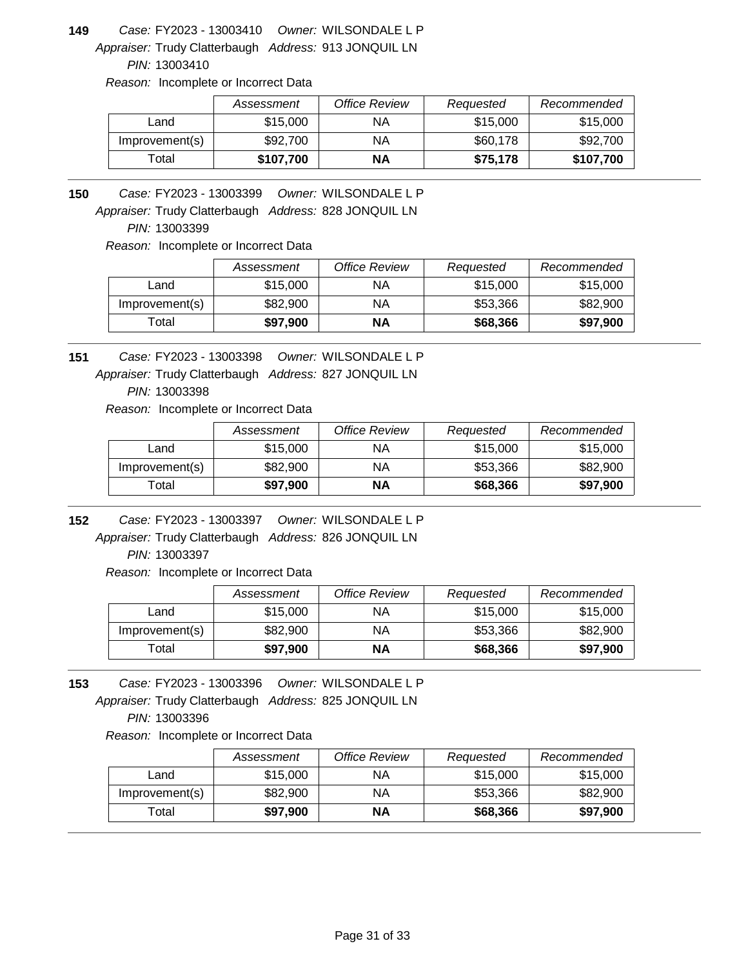Appraiser: Trudy Clatterbaugh Address: 913 JONQUIL LN **149** *Owner:* WILSONDALE L P FY2023 - 13003410 *Case:*

*PIN:* 13003410

*Reason:* Incomplete or Incorrect Data

|                | Assessment | Office Review | Requested | Recommended |
|----------------|------------|---------------|-----------|-------------|
| Land           | \$15,000   | ΝA            | \$15,000  | \$15,000    |
| Improvement(s) | \$92,700   | NA            | \$60,178  | \$92,700    |
| Total          | \$107,700  | ΝA            | \$75,178  | \$107,700   |

**150** *Owner:* WILSONDALE L P FY2023 - 13003399 *Case:*

Appraiser: Trudy Clatterbaugh Address: 828 JONQUIL LN

*PIN:* 13003399

*Reason:* Incomplete or Incorrect Data

|                   | Assessment | <b>Office Review</b> | Requested | Recommended |
|-------------------|------------|----------------------|-----------|-------------|
| Land              | \$15,000   | ΝA                   | \$15,000  | \$15,000    |
| Improvement(s)    | \$82,900   | ΝA                   | \$53.366  | \$82,900    |
| <sup>-</sup> otal | \$97,900   | ΝA                   | \$68,366  | \$97,900    |

**151** *Owner:* WILSONDALE L P FY2023 - 13003398 *Case:*

Appraiser: Trudy Clatterbaugh Address: 827 JONQUIL LN

*PIN:* 13003398

*Reason:* Incomplete or Incorrect Data

|                | Assessment | Office Review | Requested | Recommended |
|----------------|------------|---------------|-----------|-------------|
| Land           | \$15,000   | ΝA            | \$15,000  | \$15,000    |
| Improvement(s) | \$82,900   | ΝA            | \$53,366  | \$82,900    |
| Total          | \$97,900   | ΝA            | \$68,366  | \$97,900    |

**152** *Owner:* WILSONDALE L P FY2023 - 13003397 *Case:*

Appraiser: Trudy Clatterbaugh Address: 826 JONQUIL LN *PIN:* 13003397

*Reason:* Incomplete or Incorrect Data

|                | Assessment | Office Review | Requested | Recommended |
|----------------|------------|---------------|-----------|-------------|
| Land           | \$15,000   | ΝA            | \$15,000  | \$15,000    |
| Improvement(s) | \$82,900   | ΝA            | \$53,366  | \$82,900    |
| Total          | \$97,900   | NΑ            | \$68,366  | \$97,900    |

Appraiser: Trudy Clatterbaugh Address: 825 JONQUIL LN **153** *Owner:* WILSONDALE L P FY2023 - 13003396 *Case: PIN:* 13003396

|                | Assessment | Office Review | Requested | Recommended |
|----------------|------------|---------------|-----------|-------------|
| Land           | \$15,000   | ΝA            | \$15,000  | \$15,000    |
| Improvement(s) | \$82,900   | ΝA            | \$53,366  | \$82,900    |
| $\sf{Total}$   | \$97,900   | ΝA            | \$68,366  | \$97,900    |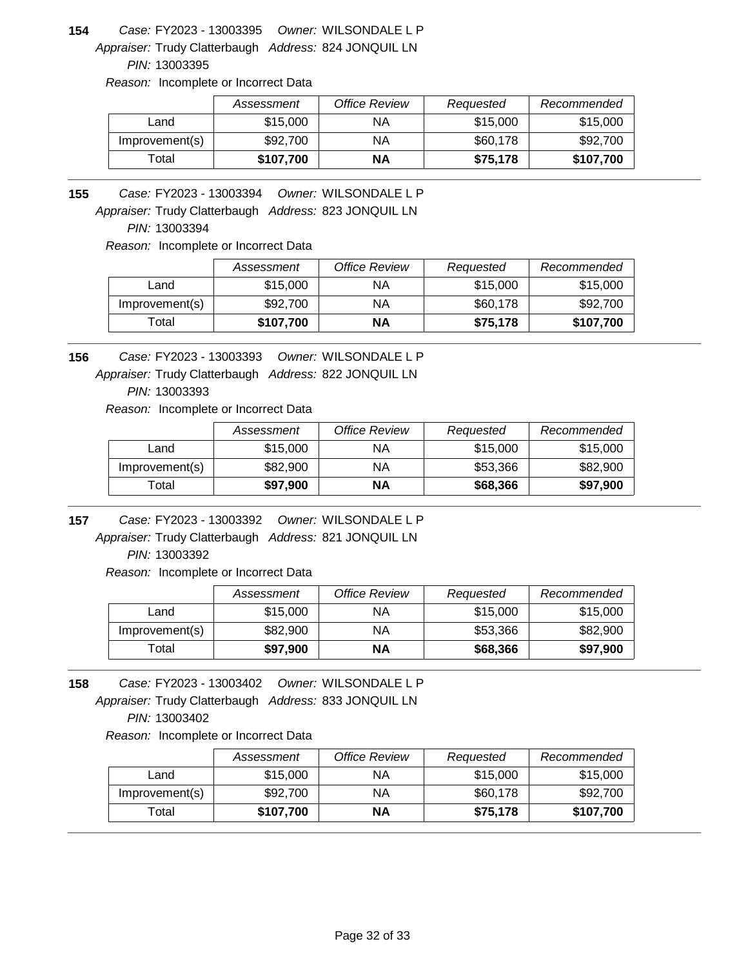Appraiser: Trudy Clatterbaugh Address: 824 JONQUIL LN **154** *Owner:* WILSONDALE L P FY2023 - 13003395 *Case:*

*PIN:* 13003395

*Reason:* Incomplete or Incorrect Data

|                | Assessment | Office Review | Requested | Recommended |
|----------------|------------|---------------|-----------|-------------|
| Land           | \$15,000   | ΝA            | \$15,000  | \$15,000    |
| Improvement(s) | \$92,700   | NA            | \$60,178  | \$92,700    |
| Total          | \$107,700  | ΝA            | \$75,178  | \$107,700   |

**155** *Owner:* WILSONDALE L P FY2023 - 13003394 *Case:*

Appraiser: Trudy Clatterbaugh Address: 823 JONQUIL LN

*PIN:* 13003394

*Reason:* Incomplete or Incorrect Data

|                | Assessment | <b>Office Review</b> | Requested | Recommended |
|----------------|------------|----------------------|-----------|-------------|
| Land           | \$15,000   | ΝA                   | \$15,000  | \$15,000    |
| Improvement(s) | \$92,700   | ΝA                   | \$60,178  | \$92,700    |
| Total          | \$107,700  | ΝA                   | \$75,178  | \$107,700   |

**156** *Owner:* WILSONDALE L P FY2023 - 13003393 *Case:*

Appraiser: Trudy Clatterbaugh Address: 822 JONQUIL LN

*PIN:* 13003393

*Reason:* Incomplete or Incorrect Data

|                | Assessment | Office Review | Requested | Recommended |
|----------------|------------|---------------|-----------|-------------|
| Land           | \$15,000   | ΝA            | \$15,000  | \$15,000    |
| Improvement(s) | \$82,900   | ΝA            | \$53,366  | \$82,900    |
| Total          | \$97,900   | ΝA            | \$68,366  | \$97,900    |

**157** *Owner:* WILSONDALE L P FY2023 - 13003392 *Case:*

Appraiser: Trudy Clatterbaugh Address: 821 JONQUIL LN *PIN:* 13003392

*Reason:* Incomplete or Incorrect Data

|                | Assessment | Office Review | Requested | Recommended |
|----------------|------------|---------------|-----------|-------------|
| Land           | \$15,000   | ΝA            | \$15,000  | \$15,000    |
| Improvement(s) | \$82,900   | ΝA            | \$53,366  | \$82,900    |
| ™otal          | \$97,900   | NΑ            | \$68,366  | \$97,900    |

Appraiser: Trudy Clatterbaugh Address: 833 JONQUIL LN **158** *Owner:* WILSONDALE L P FY2023 - 13003402 *Case: PIN:* 13003402

|                | Assessment | Office Review | Requested | Recommended |
|----------------|------------|---------------|-----------|-------------|
| Land           | \$15,000   | ΝA            | \$15,000  | \$15,000    |
| Improvement(s) | \$92,700   | ΝA            | \$60,178  | \$92,700    |
| $\tau$ otal    | \$107,700  | ΝA            | \$75,178  | \$107,700   |